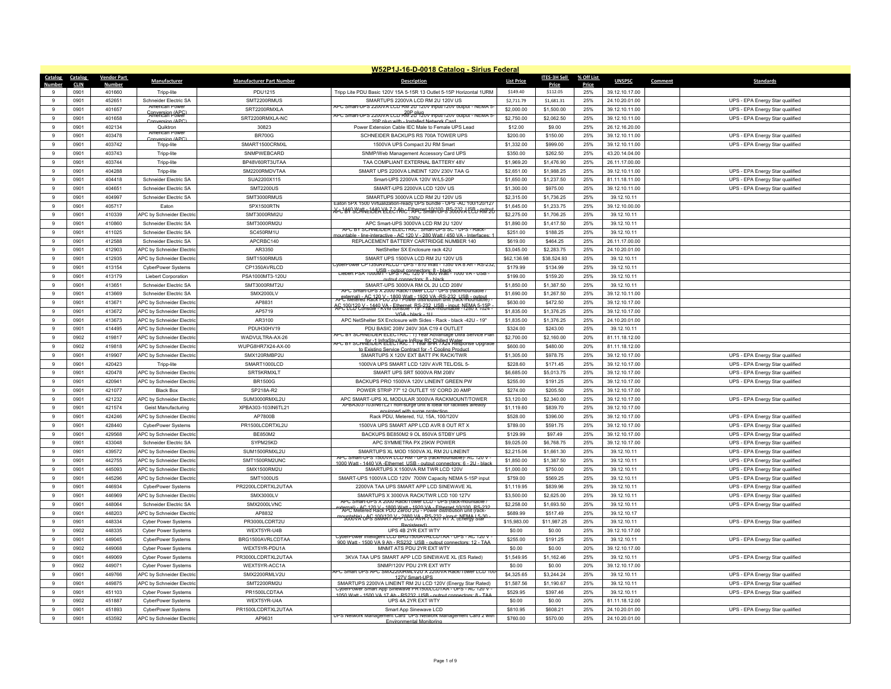|                    | W52P1J-16-D-0018 Catalog - Sirius Federal |                    |                                                               |                                 |                                                                                                                                           |                          |                          |            |                                  |                                                                    |  |  |
|--------------------|-------------------------------------------|--------------------|---------------------------------------------------------------|---------------------------------|-------------------------------------------------------------------------------------------------------------------------------------------|--------------------------|--------------------------|------------|----------------------------------|--------------------------------------------------------------------|--|--|
| Catalog            | Catalog                                   | <b>Vendor Part</b> | Manufacturer                                                  | <b>Manufacturer Part Number</b> | <b>Description</b>                                                                                                                        | <b>List Price</b>        | <b>ITES-3H Sell</b>      | % Off List | <b>UNSPSC</b>                    | Comment<br><b>Standards</b>                                        |  |  |
| Number<br>$\alpha$ | <b>CLIN</b>                               | <b>Numbe</b>       |                                                               |                                 |                                                                                                                                           |                          | Price                    | Price      |                                  |                                                                    |  |  |
| $\alpha$           | 0901                                      | 401660             | Tripp-lite                                                    | <b>PDU1215</b>                  | Tripp Lite PDU Basic 120V 15A 5-15R 13 Outlet 5-15P Horizontal 1URM                                                                       | \$149.40                 | \$112.05                 | 25%        | 39.12.10.17.00                   |                                                                    |  |  |
|                    | 0901<br>0901                              | 452651<br>401657   | Schneider Electric SA<br>American Power                       | SMT2200RMUS<br>SRT2200RMXLA     | SMARTUPS 2200VA LCD RM 2U 120V US<br>APC Smart-UPS 2200VA LCD RM 2U 120V input/120V output - NEMA 3                                       | \$2,711.79<br>\$2,000.00 | \$1,681.31<br>\$1,500.00 | 25%<br>25% | 24.10.20.01.00<br>39.12.10.11.00 | UPS - EPA Energy Star qualified                                    |  |  |
| 9                  |                                           |                    | Conversion (APC)                                              |                                 | PC Smart-UPS 2200VA LCD RM 20120V input/120V output - NEMA 5                                                                              |                          |                          |            |                                  | UPS - EPA Energy Star qualified                                    |  |  |
| 9                  | 0901                                      | 401658             | Conversion (APC)                                              | SRT2200RMXLA-NC                 | 20P plug with - Installed Network Card                                                                                                    | \$2,750.00               | \$2,062.50               | 25%        | 39.12.10.11.00                   | UPS - EPA Energy Star qualified                                    |  |  |
| 9                  | 0901                                      | 402134             | Quiktron<br>American Pov                                      | 30823                           | Power Extension Cable IEC Male to Female UPS Lead                                                                                         | \$12.00                  | \$9.00                   | 25%        | 26.12.16.20.00                   |                                                                    |  |  |
| 9<br>$\mathbf{q}$  | 0901                                      | 403478             | wersion (AP                                                   | <b>BR700G</b>                   | SCHNEIDER BACKUPS RS 700A TOWER UPS                                                                                                       | \$200.00                 | \$150.00                 | 25%        | 39.12.10.11.00                   | UPS - EPA Energy Star qualified                                    |  |  |
| 9                  | 0901<br>0901                              | 403742<br>403743   | Tripp-lite                                                    | SMART1500CRMXL<br>SNMPWEBCARD   | 1500VA UPS Compact 2U RM Smart                                                                                                            | \$1,332.00<br>\$350.00   | \$999.00<br>\$262.50     | 25%<br>25% | 39.12.10.11.00<br>43.20.14.04.00 | UPS - EPA Energy Star qualified                                    |  |  |
|                    |                                           | 403744             | Tripp-lite                                                    | BP48V60RT3UTAA                  | SNMP/Web Management Accessory Card UPS<br>TAA COMPLIANT EXTERNAL BATTERY 48V                                                              |                          |                          |            |                                  |                                                                    |  |  |
| 9<br>$\mathbf{q}$  | 0901<br>0901                              | 404288             | Tripp-lite                                                    | SM2200RMDVTAA                   | SMART UPS 2200VA LINEINT 120V 230V TAA G                                                                                                  | \$1,969.20<br>\$2,651.00 | \$1,476.90<br>\$1,988.25 | 25%<br>25% | 26.11.17.00.00<br>39.12.10.11.00 | UPS - EPA Energy Star qualified                                    |  |  |
| 9                  | 0901                                      | 404418             | Tripp-lite<br>Schneider Electric SA                           | SUA2200X115                     | Smart-UPS 2200VA 120V W/L5-20F                                                                                                            | \$1,650.00               | \$1,237.50               | 25%        | 81.11.18.11.00                   | UPS - EPA Energy Star qualified                                    |  |  |
| 9                  | 0901                                      | 404651             | Schneider Electric SA                                         | <b>SMT2200US</b>                | SMART-UPS 2200VA LCD 120V US                                                                                                              | \$1,300.00               | \$975.00                 | 25%        | 39.12.10.11.00                   | UPS - EPA Energy Star qualified                                    |  |  |
| 9                  | 0901                                      | 404997             | Schneider Flectric SA                                         | SMT3000RMUS                     | SMARTUPS 3000VA LCD RM 2U 120V US                                                                                                         | \$2,315.00               | \$1,736.25               | 25%        | 39.12.10.11                      |                                                                    |  |  |
| 9                  | 0901                                      | 405717             | Eaton                                                         | 5PX1500RTN                      | Laton 5PX 1500 Virtualization-ready UPS bundle - UPS -AC 100/120/12                                                                       | \$1,645.00               | \$1,233.75               | 25%        | 39.12.10.00.00                   |                                                                    |  |  |
| 9                  | 0901                                      | 410339             | APC by Schneider Electric                                     | SMT3000RMI2U                    | <del>X12 1449 SCANIE 1848 YO ZEE ANIC FINDER 10/100 RS1232 X ISB 1 ANIPAL</del>                                                           | \$2,275.00               | \$1,706.25               | 25%        | 39.12.10.11                      |                                                                    |  |  |
| $\mathbf{q}$       | 0901                                      | 410860             | Schneider Electric SA                                         | SMT3000RM2U                     | 230V<br>APC Smart-UPS 3000VA LCD RM 2U 120V                                                                                               | \$1,890.00               | \$1,417.50               | 25%        | 39.12.10.11                      |                                                                    |  |  |
| $\mathbf{g}$       | 0901                                      | 411025             | Schneider Electric SA                                         | SC450RM1U                       | APC BY SCHNEIDER ELECTRIC: Smart-UPS SC - UPS - Rack                                                                                      | \$251.00                 | \$188.25                 | 25%        | 39.12.10.11                      |                                                                    |  |  |
| 9                  | 0901                                      | 412588             | Schneider Electric SA                                         | APCRBC140                       | interactive - AC 120 V - 280 Watt / 450 VA - Interf<br>REPLACEMENT BATTERY CARTRIDGE NUMBER 140                                           | \$619.00                 | \$464.25                 | 25%        | 26.11.17.00.00                   |                                                                    |  |  |
| $\mathbf{q}$       | 0901                                      | 412903             | APC by Schneider Electric                                     | AR3350                          | NetShelter SX Enclosure rack 42U                                                                                                          | \$3,045.00               | \$2,283.75               | 25%        |                                  |                                                                    |  |  |
| $\mathbf{q}$       | 0901                                      | 412935             | <b>APC by Schneider Flectric</b>                              | SMT1500RMUS                     | SMART UPS 1500VA LCD RM 2U 120V US                                                                                                        | \$62,136.98              | \$38,524.93              | 25%        | 24.10.20.01.00<br>39.12.10.11    |                                                                    |  |  |
| $\mathbf{q}$       |                                           |                    |                                                               |                                 | VDBIPOWEL CPT35UAVRI CD - UPS - 810 WAII - 135U VA 8 AD - KS-Z32                                                                          |                          |                          | 25%        |                                  |                                                                    |  |  |
| $\mathbf{q}$       | 0901<br>0901                              | 413154<br>413179   | <b>CyberPower Systems</b>                                     | CP1350AVRLCD<br>PSA1000MT3-120U | Liebert PSA 1000MR-0PS-4C926V-800 Watt-1000 VA-USB-                                                                                       | \$179.99<br>\$199.00     | \$134.99<br>\$159.20     | 25%        | 39.12.10.11                      |                                                                    |  |  |
| 9                  | 0901                                      | 413651             | Liebert Corporation<br>Schneider Flectric SA                  | SMT3000RMT2U                    | output connectors: 8 - black<br>SMART-UPS 3000VA RM OL 2U LCD 208V                                                                        | \$1,850.00               | \$1,387.50               | 25%        | 39.12.10.11<br>39.12.10.11       |                                                                    |  |  |
| $\mathbf{q}$       | 0901                                      | 413669             | Schneider Electric SA                                         | SMX2000LV                       | APC Smart-UPS X 2000 Rack/Tower LCD - UPS (rackmountable                                                                                  | \$1,690.00               | \$1,267.50               | 25%        | 39.12.10.11.00                   |                                                                    |  |  |
| $\mathbf{q}$       |                                           |                    |                                                               |                                 | APC Metered Rack Pbu 1800 Watt - 1920 VA -RS-232 LISB - output<br>APC Metered Rack Pbu 2G - Power distribution unit (rack-mountable)      |                          |                          |            |                                  |                                                                    |  |  |
| 9                  | 0901<br>0901                              | 413671<br>413672   | APC by Schneider Electric                                     | AP8831<br>AP5719                | AC-100120 V - 1440 VA - Ethernet, RS-232, USB - input: NEMA 5-15P<br>AC-100120 Console - KVM console - 19" - rack-mountable - 1280 x 1024 | \$630.00<br>\$1,835.00   | \$472.50                 | 25%<br>25% | 39.12.10.17.00<br>39.12.10.17.00 |                                                                    |  |  |
| $\mathbf{q}$       | 0901                                      | 413673             | APC by Schneider Electric<br>APC by Schneider Electric        | AR3100                          | VGA - black - 1LL<br>APC NetShelter SX Enclosure with Sides - Rack - black -42U - 19"                                                     | \$1,835.00               | \$1,376.25<br>\$1,376.25 | 25%        | 24.10.20.01.00                   |                                                                    |  |  |
| $\mathbf{q}$       |                                           |                    |                                                               |                                 |                                                                                                                                           |                          |                          |            |                                  |                                                                    |  |  |
| -9                 | 0901<br>0902                              | 414495<br>419817   | APC by Schneider Electric                                     | PDUH30HV19<br>WADVULTRA-AX-26   | PDU BASIC 208V 240V 30A C19 4 OUTLET<br>APC BY SCHNEIDER ELECTRIC : 1) Year Advantage Ultra Service Plar                                  | \$324.00<br>\$2,700.00   | \$243.00                 | 25%<br>20% | 39.12.10.11                      |                                                                    |  |  |
| $\mathsf g$        | 0902                                      | 419818             | APC by Schneider Electric<br><b>APC by Schneider Flectric</b> | WUPG8HR7X24-AX-00               | чРС BY SCHNEIDLRIELEU AUC ! РРеаГ&RC Chilled Water<br>Честву SCHNEIDLRIELEU AUC ! РРеаГ&RC ! РРЕаГ Ке́вролѕе ∪рдгада                      | \$600.00                 | \$2,160.00<br>\$480.00   | 20%        | 81.11.18.12.00<br>81.11.18.12.00 |                                                                    |  |  |
| 9                  | 0901                                      | 419907             |                                                               | SMX120RMBP2U                    | o Existing Service Contract for -1 Cooling Product<br>SMARTUPS X 120V EXT BATT PK RACK/TWR                                                |                          |                          | 25%        |                                  |                                                                    |  |  |
| -9                 | 0901                                      | 420423             | APC by Schneider Electric                                     | SMART1000LCD                    | 1000VA UPS SMART LCD 120V AVR TEL/DSL 5-                                                                                                  | \$1,305.00<br>\$228.60   | \$978.75<br>\$171.45     | 25%        | 39.12.10.17.00<br>39.12.10.17.00 | UPS - EPA Energy Star qualified<br>UPS - EPA Energy Star qualified |  |  |
| $\mathsf g$        | 0901                                      | 420478             | Tripp-lite<br>APC by Schneider Electric                       | SRT5KRMXLT                      | SMART UPS SRT 5000VA RM 208V                                                                                                              | \$6,685.00               | \$5,013.75               | 25%        | 39.12.10.17.00                   | UPS - EPA Energy Star qualified                                    |  |  |
| 9                  | 0901                                      | 420941             | APC by Schneider Electric                                     | <b>BR1500G</b>                  | BACKUPS PRO 1500VA 120V LINEINT GREEN PW                                                                                                  | \$255.00                 | \$191.25                 | 25%        | 39.12.10.17.00                   | UPS - EPA Energy Star qualified                                    |  |  |
| 9                  | 0901                                      | 421077             | <b>Black Box</b>                                              | SP218A-R2                       | POWER STRIP 77" 12 OUTLET 15' CORD 20 AMP                                                                                                 | \$274.00                 | \$205.50                 | 25%        | 39.12.10.17.00                   |                                                                    |  |  |
| $\mathbf{q}$       | 0901                                      | 421232             | APC by Schneider Electric                                     | SUM3000RMXL2U                   | APC SMART-UPS XL MODULAR 3000VA RACKMOUNT/TOWER                                                                                           | \$3,120.00               | \$2,340.00               | 25%        | 39.12.10.17.00                   | UPS - EPA Energy Star qualified                                    |  |  |
| 9                  | 0901                                      | 421574             | Geist Manufacturing                                           | XPBA303-103IN6TL21              | XPBA303-103IN61L21 non-surge unit is ideal for facilities already                                                                         | \$1,119.60               | \$839.70                 | 25%        | 39.12.10.17.00                   |                                                                    |  |  |
| 9                  | 0901                                      | 424246             | APC by Schneider Electric                                     | AP7800B                         | uinnad with surga protaction<br>Rack PDU, Metered, 1U, 15A, 100/120V                                                                      | \$528.00                 | \$396.00                 | 25%        | 39.12.10.17.00                   | UPS - EPA Energy Star qualified                                    |  |  |
| $\mathbf{q}$       | 0901                                      | 428440             | <b>CyberPower Systems</b>                                     | PR1500LCDRTXL2U                 | 1500VA UPS SMART APP LCD AVR 8 OUT RT X                                                                                                   | \$789.00                 | \$591.75                 | 25%        | 39.12.10.17.00                   | UPS - EPA Energy Star qualified                                    |  |  |
| 9                  | 0901                                      | 429568             | APC by Schneider Electric                                     | BE850M2                         | BACKUPS BE850M2 9 OL 850VA STDBY UPS                                                                                                      | \$129.99                 | \$97.49                  | 25%        | 39.12.10.17.00                   | UPS - EPA Energy Star qualified                                    |  |  |
| 9                  | 0901                                      | 433048             | Schneider Electric SA                                         | SYPM25KD                        | APC SYMMETRA PX 25KW POWER                                                                                                                | \$9,025.00               | \$6,768.75               | 25%        | 39.12.10.17.00                   | UPS - EPA Energy Star qualified                                    |  |  |
| $\mathbf{q}$       | 0901                                      | 439572             | APC by Schneider Electric                                     | SUM1500RMXL2U                   | SMARTUPS XL MOD 1500VA XL RM 2U LINEINT                                                                                                   | \$2,215.06               | \$1,661.30               | 25%        | 39.12.10.11                      | UPS - EPA Energy Star qualified                                    |  |  |
| 9                  | 0901                                      | 442755             | APC by Schneider Electric                                     | SMT1500RM2UNC                   | APC Smart-UPS 1500VA LCD RM - UPS (rackmountable)- AC 120 V                                                                               | \$1,850.00               | \$1,387.50               | 25%        | 39.12.10.11                      | UPS - EPA Energy Star qualified                                    |  |  |
| 9                  | 0901                                      | 445093             | APC by Schneider Electric                                     | SMX1500RM2U                     | 1000 Watt - 1440 VA -Fthernet USB - output connectors: 6 - 2U - black<br>SMARTUPS X 1500VA RM TWR LCD 120V                                | \$1,000.00               | \$750.00                 | 25%        | 39.12.10.11                      | UPS - EPA Energy Star qualified                                    |  |  |
| $\mathbf{q}$       | 0901                                      | 445296             | APC by Schneider Electric                                     | <b>SMT1000US</b>                | SMART-UPS 1000VA LCD 120V 700W Capacity NEMA 5-15P input                                                                                  | \$759.00                 | \$569.25                 | 25%        | 39.12.10.11                      | UPS - EPA Energy Star qualified                                    |  |  |
| 9                  | 0901                                      | 446934             | CyberPower Systems                                            | PR2200LCDRTXL2UTAA              | 2200VA TAA UPS SMART APP LCD SINEWAVE XI                                                                                                  | \$1,119.95               | \$839.96                 | 25%        | 39.12.10.11                      | UPS - EPA Energy Star qualified                                    |  |  |
| 9                  | 0901                                      | 446969             | APC by Schneider Electric                                     | <b>SMX3000LV</b>                | SMARTUPS X 3000VA RACK/TWR LCD 100 127V                                                                                                   | \$3,500.00               | \$2,625.00               | 25%        | 39.12.10.11                      | UPS - EPA Energy Star qualified                                    |  |  |
| $\mathbf{q}$       | 0901                                      | 448064             | Schneider Electric SA                                         | SMX2000LVNC                     | APC Smart-UPS X 2000 Rack/Tower LCD - UPS (rack-mountable /                                                                               | \$2,258.00               | \$1,693.50               | 25%        | 39.12.10.11                      | UPS - EPA Energy Star qualified                                    |  |  |
| 9                  | 0901                                      | 448203             | <b>APC by Schneider Flectric</b>                              | AP8832                          | external) - AC 120 V - 1800 Watt - 1920 VA - Ethernet 10/100, RS-232<br>APC Metered Rack PDU Zerou 2G - Power distribution unit (rack-    | \$689.99                 | \$517.49                 | 25%        | 39.12.10.17                      |                                                                    |  |  |
| $\mathbf{q}$       | 0901                                      | 448334             | <b>Cyber Power Systems</b>                                    | PR3000LCDRT2U                   | mountable + 68 300/120 X + 2880 X + R + 2007 + 1PM + NEMA L5-30 -                                                                         | \$15,983.00              | \$11,987.25              | 25%        | 39.12.10.11                      | UPS - EPA Energy Star qualified                                    |  |  |
| $\overline{9}$     | 0902                                      | 448335             | <b>Cyber Power Systems</b>                                    | WEXT5YR-U4B                     | Registered)<br>UPS 4B 2YR EXT WTY                                                                                                         | \$0.00                   | \$0.00                   | 25%        | 39.12.10.17.00                   |                                                                    |  |  |
| 9                  | 0901                                      | 449045             | <b>CyberPower Systems</b>                                     | BRG1500AVRLCDTAA                | CyberPower Intelligent LCD BRG1500AVRLCDTAA - UPS - AC 120 V                                                                              | \$255.00                 | \$191.25                 | 25%        | 39.12.10.11                      | UPS - EPA Energy Star qualified                                    |  |  |
| $\mathbf{q}$       | 0902                                      | 449068             | <b>Cyber Power Systems</b>                                    | WEXT5YR-PDU1A                   | 900 Watt - 1500 VA 9 Ab - RS232 LISR - output connectors: 12 - TAA<br>MNMT ATS PDU 2YR EXT WTY                                            | \$0.00                   | \$0.00                   | 20%        | 39.12.10.17.00                   |                                                                    |  |  |
| 9                  | 0901                                      | 449069             | <b>Cyber Power Systems</b>                                    | PR3000LCDRTXL2UTAA              | 3KVA TAA UPS SMART APP LCD SINEWAVE XL (ES Rated)                                                                                         | \$1,549.95               | \$1,162.46               | 25%        | 39.12.10.11                      | UPS - EPA Energy Star qualified                                    |  |  |
| 9                  | 0902                                      | 449071             | <b>Cyber Power Systems</b>                                    | WFXT5YR-ACC1A                   | SNMP/120V PDU 2YR EXT WTY                                                                                                                 | \$0.00                   | \$0.00                   | 20%        | 39.12.10.17.00                   |                                                                    |  |  |
| 9                  | 0901                                      | 449766             | APC by Schneider Electric                                     | SMX2200RMLV2U                   | APC Smart UPS APC SMX2200RMLV2U X 2200VA Rack/Tower LCD 10                                                                                | \$4,325.65               | \$3,244.24               | 25%        | 39.12.10.11                      | UPS - EPA Energy Star qualified                                    |  |  |
| $\mathbf{q}$       | 0901                                      | 449875             | APC by Schneider Electric                                     | SMT2200RM2U                     | 127V Smart LIPS<br>SMARTUPS 2200VA LINEINT RM 2U LCD 120V (Energy Star Rated)                                                             | \$1,587.56               | \$1,190.67               | 25%        | 39.12.10.11                      | UPS - EPA Energy Star qualified                                    |  |  |
| 9                  | 0901                                      | 451103             | Cyber Power Systems                                           | PR1500LCDTAA                    | CyberPower Smart App Sinewave PR1500LCDTAA - UPS - AC 120 V                                                                               | \$529.95                 | \$397.46                 | 25%        | 39.12.10.11                      | UPS - EPA Energy Star qualified                                    |  |  |
| $\mathfrak{g}$     | 0902                                      | 451887             | <b>CyberPower Systems</b>                                     | WEXT5YR-U4A                     | 1050 Watt - 1500 VA 17 Ah - RS232 USB - output connectors: 8 - TAA<br>UPS 4A 2YR EXT WTY                                                  | \$0.00                   | \$0.00                   | 20%        | 81.11.18.12.00                   |                                                                    |  |  |
| $\mathbf{g}$       | 0901                                      | 451893             | CyberPower Systems                                            | PR1500LCDRTXL2UTAA              | Smart App Sinewave LCD                                                                                                                    | \$810.95                 | \$608.21                 | 25%        | 24.10.20.01.00                   | UPS - EPA Energy Star qualified                                    |  |  |
| 9                  | 0901                                      | 453592             | APC by Schneider Electric                                     | AP9631                          | UPS Network Management Card UPS Network Management Card 2 with                                                                            | \$760.00                 | \$570.00                 | 25%        | 24.10.20.01.00                   |                                                                    |  |  |
|                    |                                           |                    |                                                               |                                 | Environmental Monitoring                                                                                                                  |                          |                          |            |                                  |                                                                    |  |  |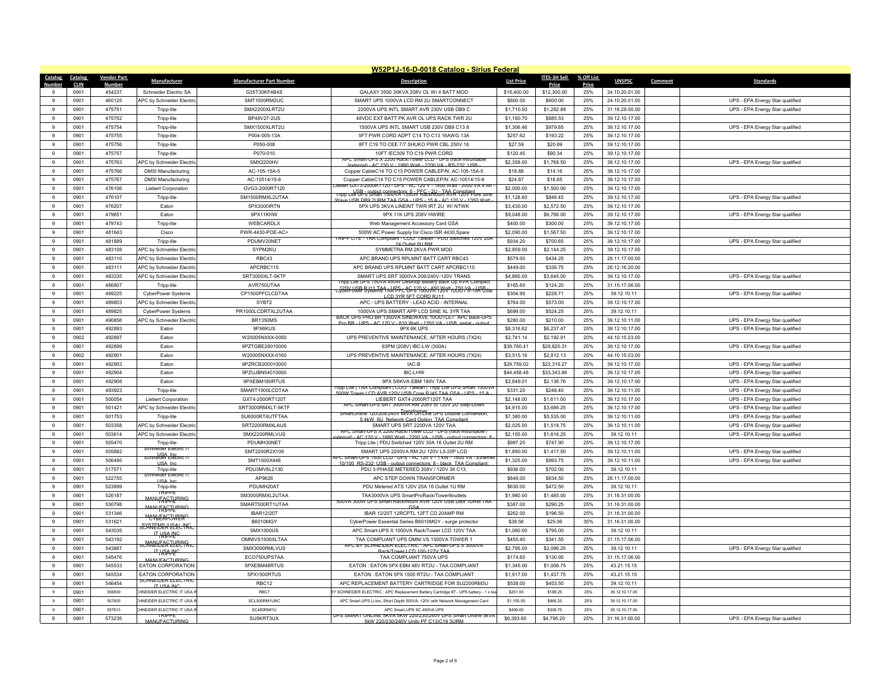|                | W52P1J-16-D-0018 Catalog - Sirius Federal |                    |                                           |                                 |                                                                                                                            |                   |                     |            |                          |                                 |  |  |
|----------------|-------------------------------------------|--------------------|-------------------------------------------|---------------------------------|----------------------------------------------------------------------------------------------------------------------------|-------------------|---------------------|------------|--------------------------|---------------------------------|--|--|
| Catalog        | Catalog                                   | <b>Vendor Part</b> | Manufacturer                              | <b>Manufacturer Part Number</b> | <b>Description</b>                                                                                                         | <b>List Price</b> | <b>ITES-3H Sell</b> | % Off List | <b>UNSPSC</b><br>Comment | <b>Standards</b>                |  |  |
| Numhei         | <b>CLIN</b>                               | Number             |                                           |                                 |                                                                                                                            |                   | Price               | Price      |                          |                                 |  |  |
|                | 0901                                      | 454237             | Schneider Electric SA                     | G35T30KF4B4S                    | GALAXY 3500 30KVA 208V OL W/ 4 BATT MOD                                                                                    | \$16,400.00       | \$12,300.00         | 25%        | 24.10.20.01.00           |                                 |  |  |
|                | 0901                                      | 460125             | APC by Schneider Electri                  | SMT1000RM2UC                    | SMART UPS 1000VA LCD RM 2U SMARTCONNECT                                                                                    | \$800.00          | \$600.00            | 25%        | 24.10.20.01.00           | UPS - EPA Energy Star qualified |  |  |
| $\mathbf{q}$   | 0901                                      | 475751             | Tripp-lite                                | SMX2200XLRT2U                   | 2200VA UPS INTL SMART AVR 230V USB DB9 C                                                                                   | \$1,710.50        | \$1,282.88          | 25%        | 31.16.28.00.00           | UPS - EPA Energy Star qualified |  |  |
| $\mathfrak{g}$ | 0901                                      | 475752             | Tripp-lite                                | BP48V27-2US                     | 48VDC EXT BATT PK AVR OL UPS RACK TWR 2U                                                                                   | \$1,180.70        | \$885.53            | 25%        | 39.12.10.17.00           |                                 |  |  |
| $\alpha$       | 0901                                      | 475754             | Tripp-lite                                | SMX1500XLRT2U                   | 1500VA UPS INTL SMART USB 230V DB9 C13 8                                                                                   | \$1,306.46        | \$979.85            | 25%        | 39.12.10.17.00           | UPS - EPA Energy Star qualified |  |  |
| ۰Q             | 0901                                      | 475755             | Tripp-lite                                | P004-005-13A                    | 5FT PWR CORD ADPT C14 TO C13 16AWG 13A                                                                                     | \$257.62          | \$193.22            | 25%        | 39 12 10 17 00           |                                 |  |  |
| $\mathfrak{g}$ | 0901                                      | 475756             | Tripp-lite                                | P050-008                        | 8FT C19 TO CEE 7/7 SHUKO PWR CBL 250V 16                                                                                   | \$27.59           | \$20.69             | 25%        | 39.12.10.17.00           |                                 |  |  |
| $\alpha$       | 0901                                      | 475757             | Tripp-lite                                | P070-010                        | 10FT IEC309 TO C19 PWR CORD<br>APC Smart-UPS X 2200 Rack/Tower LCD - UPS (rack-mountable                                   | \$120.45          | \$90.34             | 25%        | 39.12.10.17.00           |                                 |  |  |
| 9              | 0901                                      | 475763             | APC by Schneider Electrio                 | SMX2200HV                       | /external) - AC 230 V - 1980 Watt - 2200 VA - RS-232 USB -                                                                 | \$2,358.00        | \$1,768.50          | 25%        | 39.12.10.17.00           | UPS - EPA Energy Star qualified |  |  |
| $\sf q$        | 0901                                      | 475766             | <b>DMSI Manufacturing</b>                 | AC-105-15A-5                    | Copper CableC14 TO C13 POWER CABLEP/N: AC-105-15A-5                                                                        | \$18.88           | \$14.16             | 25%        | 39.12.10.17.00           |                                 |  |  |
| 9              | 0901                                      | 475767             | <b>DMSI Manufacturing</b>                 | AC-10514/15-6                   | Copper CableC14 TO C15 POWER CABLEP/N: AC-10514/15-6<br>Iebert GXT3-2000RT120 - UPS - AC 120 V - 1800 Watt - 2000 VA 9 Ah. | \$24.87           | \$18.65             | 25%        | 39.12.10.17.00           |                                 |  |  |
| ۰Q             | 0901                                      | 476106             | Liebert Corporation                       | GVG3-2000RT120                  | Tripp Lite OPS Smart 98000 A 1350 N Rackmount AV R 9720 V Pure Sine                                                        | \$2,000.00        | \$1,500.00          | 25%        | 39.12.10.17.00           |                                 |  |  |
| $\alpha$       | 0901                                      | 476107             | Tripp-lite                                | SM1500RMXL2UTAA                 | Wave USB DB9 2URM TAA GSA - UPS - 15 A - AC 120 V - 1350 Watt                                                              | \$1,128.60        | \$846.45            | 25%        | 39.12.10.17.00           | UPS - EPA Energy Star qualified |  |  |
|                | 0901                                      | 476207             | Eaton                                     | 5PX3000IRTN                     | 5PX UPS 3KVA LINEINT TWR IRT 2U W/ NTWK                                                                                    | \$3,430.00        | \$2,572.50          | 25%        | 39.12.10.17.00           |                                 |  |  |
| 9              | 0901                                      | 479651             | Eaton                                     | 9PX11KHW                        | 9PX 11K UPS 208V HWIRE                                                                                                     | \$9,048.00        | \$6,786.00          | 25%        | 39.12.10.17.00           | UPS - EPA Energy Star qualified |  |  |
| $\circ$        | 0901                                      | 479743             | Tripp-lite                                | WEBCARDLX                       | Web Management Accessory Card GSA                                                                                          | \$400.00          | \$300.00            | 25%        | 39.12.10.17.00           |                                 |  |  |
|                | 0901                                      | 481643             | Cisco                                     | PWR-4430-POE-AC=                | 500W AC Power Supply for Cisco ISR 4430, Spare<br>TRIPP LITE - TAA Compliant - COO: Taiwan - PDU Switched 120V 20A         | \$2,090.00        | \$1,567.50          | 25%        | 39.12.10.17.00           |                                 |  |  |
| 9              | 0901                                      | 481889             | Tripp-lite                                | PDUMV20NET                      | 24 Outlet 0U RM                                                                                                            | \$934.20          | \$700.65            | 25%        | 39.12.10.17.00           | UPS - EPA Energy Star qualified |  |  |
| 9              | 0901                                      | 483108             | APC by Schneider Electri                  | SYPM2KU                         | SYMMETRA RM 2KVA PWR MOD                                                                                                   | \$2,859.00        | \$2,144.25          | 25%        | 39.12.10.17.00           |                                 |  |  |
| 9              | 0901                                      | 483110             | APC by Schneider Electric                 | RBC43                           | APC BRAND UPS RPLMNT BATT CART RBC43                                                                                       | \$579.00          | \$434.25            | 25%        | 26.11.17.00.00           |                                 |  |  |
| 9              | 0901                                      | 483111             | APC by Schneider Electri                  | APCRBC115                       | APC BRAND UPS RPLMNT BATT CART APCRBC115                                                                                   | \$449.00          | \$336.75            | 25%        | 26.12.16.20.00           |                                 |  |  |
| $\alpha$       | 0901                                      | 483335             | APC by Schneider Electri                  | SRT3000XLT-5KTF                 | SMART UPS SRT 3000VA 208/240V-120V TRANS<br>Tripp Lite UPS 750VA 450W Desktop Battery Back Up AVR Compact                  | \$4,860.00        | \$3,645.00          | 25%        | 39.12.10.17.00           | UPS - EPA Energy Star qualified |  |  |
|                | 0901                                      | 486807             | Tripp-lite                                | AVR750UTAA                      | CyberPower Systems 1 AAPS-c-06-320-06-450-200 t-050-V-8-1-5R USB                                                           | \$165.60          | \$124.20            | 25%        | 31.15.17.06.00           |                                 |  |  |
| 9              | 0901                                      | 489225             | CyberPower Systems                        | CP1500PFCLCDTAA                 | LCD 3YR 5FT CORD R.I11                                                                                                     | \$304.95          | \$228.71            | 25%        | 39.12.10.11              | UPS - EPA Energy Star qualified |  |  |
| $\alpha$       | 0901                                      | 489803             | APC by Schneider Electric                 | SYBT2                           | APC - UPS BATTERY - LEAD ACID - INTERNAL                                                                                   | \$764.00          | \$573.00            | 25%        | 39.12.10.17.00           |                                 |  |  |
| 9              | 0901                                      | 489825             | CyberPower Systems                        | PR1000LCDRTXL2UTAA              | 1000VA UPS SMART APP LCD SINE XL 3YR TAA<br>BACK UPS PRO BR 1350VA SINEWAVE 10OUTLET APC Back-UPS                          | \$699.00          | \$524.25            | 25%        | 39.12.10.11              |                                 |  |  |
| 9              | 0901                                      | 490856             | APC by Schneider Electri                  | <b>BR1350MS</b>                 | Pro RR - LIPS - AC 120 V - 810 Watt - 1350 VA - LISR serial - output                                                       | \$280.00          | \$210.00            | 25%        | 39.12.10.11.00           | UPS - EPA Energy Star qualified |  |  |
| $\alpha$       | 0901                                      | 492893             | Eaton                                     | 9PX6KUS                         | 9PX 6K UPS                                                                                                                 | \$8,316.62        | \$6,237.47          | 25%        | 39.12.10.17.00           | UPS - EPA Energy Star qualified |  |  |
| 9              | 0902                                      | 492897             | Faton                                     | W20005NXXX-0050                 | UPS PREVENTIVE MAINTENANCE, AFTER HOURS (7X24)                                                                             | \$2,741.14        | \$2,192.91          | 20%        | 44.10.15.03.00           |                                 |  |  |
| $\mathfrak{g}$ | 0901                                      | 492899             | Eaton                                     | 9PZTGBE28010000                 | 93PM (208V) IBC-LW (300A)                                                                                                  | \$39,760.41       | \$29,820.31         | 25%        | 39.12.10.17.00           | UPS - EPA Energy Star qualified |  |  |
|                | 0902                                      | 492901             | Eaton                                     | W20005NXXX-0160                 | UPS PREVENTIVE MAINTENANCE, AFTER HOURS (7X24)                                                                             | \$3,515.16        | \$2,812.13          | 20%        | 44.10.15.03.00           |                                 |  |  |
| 9              | 0901                                      | 492903             | Faton                                     | 9PZRCB200010000                 | IAC-B                                                                                                                      | \$29,759.02       | \$22,319.27         | 25%        | 39.12.10.17.00           | UPS - EPA Energy Star qualified |  |  |
| $\mathfrak{g}$ | 0901                                      | 492904             | Faton                                     | 9PZUJBN54010000                 | <b>IBC-LHW</b>                                                                                                             | \$44,458.48       | \$33,343.86         | 25%        | 39.12.10.17.00           | UPS - EPA Energy Star qualified |  |  |
| $\mathbf{q}$   | 0901                                      | 492908             | Eaton                                     | 9PXEBM180RTUS                   | 9PX 5/6KVA EBM 180V TAA<br>ripp Lite   TAA Compliant   COO: Taiwan   Tripp Lite UPS Smart 1000VA                           | \$2,849.01        | \$2,136.76          | 25%        | 39.12.10.17.00           | UPS - EPA Energy Star qualified |  |  |
| 9              | 0901                                      | 493923             | Tripp-lite                                | SMART1000LCDTAA                 | 500W Tower LCD AVR 120V USB Coax RJ45 TAA GSA - UPS - 15 A                                                                 | \$331.20          | \$248.40            | 25%        | 39.12.10.11.00           | UPS - EPA Energy Star qualified |  |  |
| $\mathfrak{g}$ | 0901                                      | 500054             | <b>Liebert Corporation</b>                | GXT4-2000RT120T                 | <b>I IFBERT GXT4-2000RT120T TAA</b><br>APC Smart-UPS SRT 3000VA RM 208V to 120V 2U Step-Down                               | \$2,148.00        | \$1,611.00          | 25%        | 39.12.10.17.00           | UPS - EPA Energy Star qualified |  |  |
|                | 0901                                      | 501421             | APC by Schneider Electric                 | SRT3000RMXLT-5KTF               | SmartOnline 120/208/240V 6kVA On-Line UPS Double Conversion,                                                               | \$4,915.00        | \$3,686.25          | 25%        | 39.12.10.17.00           | UPS - EPA Energy Star qualified |  |  |
| 9              | 0901                                      | 501753             | Tripp-lite                                | SU6000RT4UTFTAA                 | 5.4kW 6U Network Card Option TAA Compliar                                                                                  | \$7,380.00        | \$5,535.00          | 25%        | 39.12.10.11.00           | UPS - EPA Energy Star qualified |  |  |
| $\mathfrak{g}$ | 0901                                      | 503358             | APC by Schneider Electric                 | SRT2200RMXLAUS                  | SMART UPS SRT 2200VA 120V TAA<br>APC Smart-UPS X 2200 Rack/TowerTCD - UPS (rack-mountable)                                 | \$2,025.00        | \$1,518.75          | 25%        | 39.12.10.11.00           | UPS - EPA Energy Star qualified |  |  |
| $\mathbf{q}$   | 0901                                      | 503614             | APC by Schneider Electric                 | SMX2200RMLVUS                   | ternal) - AC 120 V - 1980 Watt - 2200 VA - LISB - output connectors: 8                                                     | \$2,155.00        | \$1,616.25          | 25%        | 39.12.10.11              | UPS - EPA Energy Star qualified |  |  |
| 9              | 0901                                      | 505470             | Tripp-lite<br>eider Electri               | PDUMH30NET                      | Tripp Lite   PDU Switched 120V 30A 16 Outlet 2U RM                                                                         | \$997.20          | \$747.90            | 25%        | 39.12.10.17.00           |                                 |  |  |
| $\alpha$       | 0901                                      | 505882             | LISA Incometer                            | SMT2200R2X106                   | SMART UPS 2200VA RM 2U 120V L5-20P LCD<br>APC Smart-UPS 1500 LCD - UPS - AC 120 V - 1 KW - 1500 VA - Etherne               | \$1,890.00        | \$1,417.50          | 25%        | 39.12.10.11.00           | UPS - EPA Energy Star qualified |  |  |
|                | 0901                                      | 506495             | USA In                                    | SMT1500X448                     | 10/100 RS-232 USB - output connectors: 8 - black TAA Compliant                                                             | \$1,325.00        | \$993.75            | 25%        | 39.12.10.11.00           | UPS - EPA Energy Star qualified |  |  |
| 9              | 0901                                      | 517571             | Tripp-lite<br>neider Electric I           | PDU3MV6L2130                    | PDU 3-PHASE METERED 208V / 120V 36 C13;                                                                                    | \$936.00          | \$702.00            | 25%        | 39.12.10.11              |                                 |  |  |
| $\mathbf{Q}$   | 0901                                      | 522755             | <b>LISA</b> In                            | AP9626                          | APC STEP DOWN TRANSFORMER                                                                                                  | \$846.00          | \$634.50            | 25%        | 26.11.17.00.00           |                                 |  |  |
| $\mathbf{q}$   | 0901                                      | 523899             | Tripp-lite<br>TRIPPE                      | PDUMH20AT                       | PDU Metered ATS 120V 20A 16 Outlet 1U RM                                                                                   | \$630.00          | \$472.50            | 25%        | 39.12.10.11              |                                 |  |  |
| $\mathbf{q}$   | 0901                                      | 526187             | <b>MANI FAGTLIRIN</b>                     | SM3000RMXL2UTAA                 | TAA3000VA UPS SmartProRack/Tower9outlets<br>500VA 300W UPS Smart Rackmount AVR 120V USB DB9 1URM TAA                       | \$1,980.00        | \$1,485.00          | 25%        | 31.16.31.00.00           |                                 |  |  |
| $\alpha$       | 0901                                      | 530798             | MANUFACTURING                             | SMART500RT1UTAA                 | GSA                                                                                                                        | \$387.00          | \$290.25            | 25%        | 31.16.31.00.00           |                                 |  |  |
| 9              | 0901                                      | 531346             | <b>MONTERCONNEIRG</b>                     | <b>IBAR12/20T</b>               | IBAR 12/20T 12RCPTL 12FT CD 20AMP RM                                                                                       | \$262.00          | \$196.50            | 25%        | 31.16.31.00.00           |                                 |  |  |
| $\mathfrak{g}$ | 0901                                      | 531621             | <b>SCHNEINER LEEL INGC</b>                | <b>B6010MGY</b>                 | CyberPower Essential Series B6010MGY - surge protector                                                                     | \$38.56           | \$25.06             | 35%        | 31.16.31.00.00           |                                 |  |  |
| $\mathbf{Q}$   | 0901                                      | 543035             | <b>THAPP</b> C                            | <b>SMX1000US</b>                | APC Smart-UPS X 1000VA Rack/Tower LCD 120V TAA                                                                             | \$1,060.00        | \$795.00            | 25%        | 39.12.10.11              |                                 |  |  |
| -9             | 0901                                      | 543192             | <b>CHANHEARELENGE</b>                     | OMNIVS1500XLTAA                 | TAA COMPLIANT UPS OMNI VS 1500VA TOWER 1<br>APC BY SCHNEIDER ELECTRIC : APC Smart-UPS X 3000VA                             | \$455.40          | \$341.55            | 25%        | 31.15.17.06.00           |                                 |  |  |
| $\mathfrak{g}$ | 0901                                      | 543887             | <b>IT HAAJNC</b>                          | SMX3000RMLVUS                   | Rack/Tower I CD 100-127V TAA                                                                                               | \$2,795.00        | \$2,096.25          | 25%        | 39.12.10.11              | UPS - EPA Energy Star qualified |  |  |
| $\mathbf{q}$   | 0901                                      | 545476             | MANUFACTURING                             | ECO750UPSTAA                    | TAA COMPLIANT 750VA UPS                                                                                                    | \$174.60          | \$130.95            | 25%        | 31.15.17.06.00           |                                 |  |  |
| ۰Q             | 0901                                      | 545533             | <b>EATON CORPORATION</b>                  | 5PXEBM48RTUS                    | EATON : EATON 5PX EBM 48V RT2U - TAA COMPLIANT                                                                             | \$1,345.00        | \$1,008.75          | 25%        | 43.21.15.15              |                                 |  |  |
| $\mathfrak{g}$ | 0901                                      | 545534             | EATON CORPORATION<br>SCHNEIDER ELECTRIC   | 5PX1500RTUS                     | EATON : EATON 5PX 1500 RT2U - TAA COMPLIANT                                                                                | \$1,917.00        | \$1,437.75          | 25%        | 43.21.15.15              |                                 |  |  |
| $\alpha$       | 0901                                      | 546454             | IT LISA INC.                              | RBC12                           | APC REPLACEMENT BATTERY CARTRIDGE FOR SU2200RM3U                                                                           | \$538.00          | \$403.50            | 25%        | 39.12.10.11              |                                 |  |  |
| $\mathbf{Q}$   | 0901                                      | 556839             | <b>CHNEIDER ELECTRIC IT USA I</b>         | RBC7                            | SCHNEIDER ELECTRIC : APC Replacement Battery Cartridge #7 - UPS battery - 1 x lea                                          | \$251.00          | \$188.25            | 25%        | 39 12 10 17 00           |                                 |  |  |
| $\mathbf{Q}$   | 0901                                      | 557605             | HNEIDER ELECTRIC IT USA                   | SCL500RM1UNC                    | APC Smart-UPS Li-Ion, Short Depth 500VA, 120V with Network Management Card                                                 | \$1 155 00        | \$866.25            | 25%        | 39.12.10.17.00           |                                 |  |  |
|                | 0901                                      | 557613             | CHNEIDER ELECTRIC IT USA<br><b>IRIPPE</b> | SC450RMI1U                      | APC Smart-UPS SC 450VA UPS<br>JPS SMART ONLINE 5KVA 5KW 220/230/240V UPS Smart Online 5kV/                                 | \$409.00          | \$306.75            | 25%        | 39.12.10.17.00           |                                 |  |  |
| 9              | 0901                                      | 573235             | <b>MANUFACTURING</b>                      | SU5KRT3UX                       | 5kW 220/230/240V Linity PE C13/C19 3LIRM                                                                                   | \$6,393.60        | \$4,795.20          | 25%        | 31.16.31.00.00           | UPS - EPA Energy Star qualified |  |  |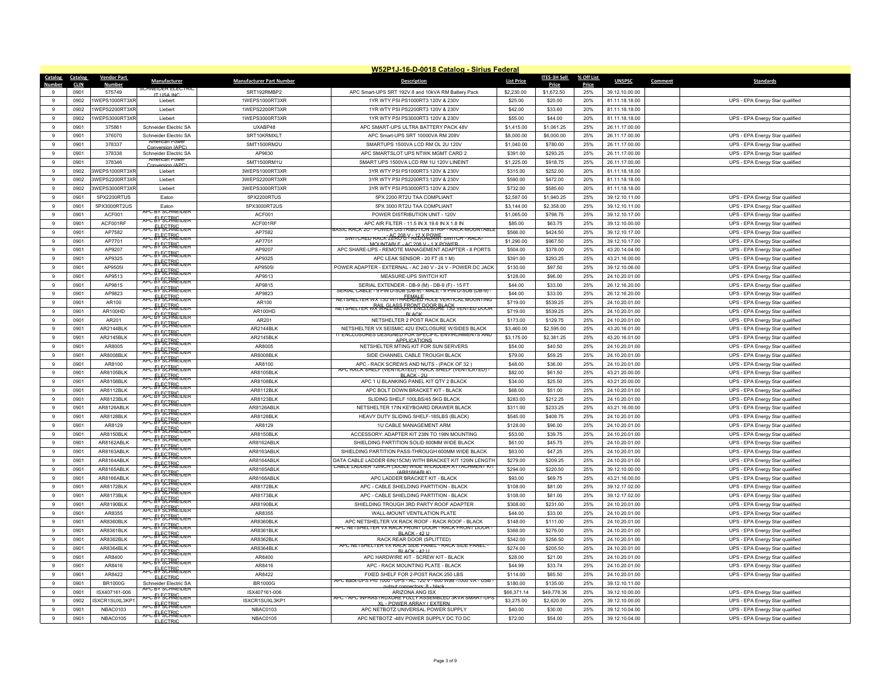|                   | W52P1J-16-D-0018 Catalog - Sirius Federal |                                  |                                           |                                  |                                                                                         |                        |                      |            |                                  |         |                                                                    |
|-------------------|-------------------------------------------|----------------------------------|-------------------------------------------|----------------------------------|-----------------------------------------------------------------------------------------|------------------------|----------------------|------------|----------------------------------|---------|--------------------------------------------------------------------|
| Catalog           | Catalog                                   | <b>Vendor Part</b>               | Manufacturer                              | <b>Manufacturer Part Number</b>  | <b>Description</b>                                                                      | <b>List Price</b>      | <b>ITES-3H Sell</b>  | % Off List | <b>UNSPSC</b>                    | Comment | <b>Standards</b>                                                   |
| $\alpha$          | <b>CLIN</b>                               | <b>Number</b>                    |                                           |                                  |                                                                                         |                        | Price                | Price      |                                  |         |                                                                    |
| $\alpha$          | 0901                                      | 575749                           | <b>IT LISA IN</b>                         | SRT192RMBP2                      | APC Smart-UPS SRT 192V 8 and 10kVA RM Battery Pack                                      | \$2,230.00             | \$1,672.50           | 25%        | 39.12.10.00.00                   |         |                                                                    |
|                   | 0902<br>0902                              | 1WEPS1000RT3XR<br>IWEPS2200RT3XR | Liebert                                   | 1WEPS1000RT3XR<br>1WEPS2200RT3XR | 1YR WTY PSI PS1000RT3 120V & 230V<br>1YR WTY PSI PS2200RT3 120V & 230V                  | \$25.00<br>\$42.00     | \$20.00<br>\$33.60   | 20%<br>20% | 81.11.18.18.00                   |         | UPS - EPA Energy Star qualified                                    |
| 9<br>$\mathbf{g}$ |                                           |                                  | Liebert                                   |                                  |                                                                                         |                        |                      |            | 81.11.18.18.00                   |         |                                                                    |
|                   | 0902                                      | WEPS3000RT3XR                    | Liebert                                   | 1WEPS3000RT3XR                   | 1YR WTY PSI PS3000RT3 120V & 230V                                                       | \$55.00                | \$44.00              | 20%        | 81.11.18.18.00                   |         | UPS - EPA Energy Star qualified                                    |
| 9                 | 0901                                      | 375861                           | Schneider Electric SA                     | UXABP48                          | APC SMART-UPS ULTRA BATTERY PACK 48V                                                    | \$1,415.00             | \$1.061.25           | 25%        | 26.11.17.00.00                   |         |                                                                    |
| 9<br>9            | 0901                                      | 376070                           | Schneider Electric SA<br>American Power   | SRT10KRMXLT                      | APC Smart-UPS SRT 10000VA RM 208V                                                       | \$8,000.00             | \$6,000.00           | 25%        | 26.11.17.00.00                   |         | UPS - EPA Energy Star qualified                                    |
| 9                 | 0901<br>0901                              | 378337<br>378338                 | Conversion (APC)<br>Schneider Electric SA | SMT1500RM2U<br>AP9630            | SMARTUPS 1500VA LCD RM OL 2U 120V<br>APC SMARTSLOT UPS NTWK MGMT CARD 2                 | \$1,040.00<br>\$391.00 | \$780.00<br>\$293.25 | 25%<br>25% | 26.11.17.00.00                   |         | UPS - EPA Energy Star qualified                                    |
| 9                 |                                           | 378346                           | American Power                            | SMT1500RM1U                      | SMART UPS 1500VA LCD RM 1U 120V LINEINT                                                 |                        |                      | 25%        | 26.11.17.00.00                   |         | UPS - EPA Energy Star qualified                                    |
| $\mathbf{g}$      | 0901<br>0902                              | 3WFPS1000RT3XF                   | Conversion (APC<br>I jebert               | 3WEPS1000RT3XR                   | 3YR WTY PSI PS1000RT3 120V & 230V                                                       | \$1,225.00<br>\$315.00 | \$918.75<br>\$252.00 | 20%        | 26.11.17.00.00<br>81.11.18.18.00 |         | UPS - EPA Energy Star qualified                                    |
| 9                 | 0902                                      | 3WEPS2200RT3XR                   | Liebert                                   | 3WEPS2200RT3XR                   | 3YR WTY PSI PS2200RT3 120V & 230V                                                       | \$590.00               | \$472.00             | 20%        | 81.11.18.18.00                   |         |                                                                    |
| 9                 | 0902                                      | 3WEPS3000RT3XR                   | Liebert                                   | 3WEPS3000RT3XR                   | 3YR WTY PSI PS3000RT3 120V & 230V                                                       | \$732.00               | \$585.60             | 20%        | 81.11.18.18.00                   |         |                                                                    |
| 9                 | 0901                                      | 5PX2200RTUS                      | Faton                                     | 5PX2200RTUS                      | 5PX 2200 RT2U TAA COMPLIANT                                                             | \$2,587.00             | \$1,940.25           | 25%        | 39.12.10.11.00                   |         | UPS - EPA Energy Star qualified                                    |
| $\mathbf{q}$      | 0901                                      | 5PX3000RT2US                     | Eaton                                     | 5PX3000RT2US                     | 5PX 3000 RT2U TAA COMPLIANT                                                             | \$3,144.00             | \$2,358.00           | 25%        | 39.12.10.11.00                   |         | UPS - EPA Energy Star qualified                                    |
| 9                 | 0901                                      | ACF001                           | APC BY SCHNEIDER                          | ACF001                           | POWER DISTRIBUTION UNIT - 120V                                                          | \$1,065.00             | \$798.75             | 25%        | 39.12.10.17.00                   |         | UPS - EPA Energy Star qualified                                    |
| $\mathbf{q}$      | 0901                                      | ACF001RF                         | <del>apc &amp;V SCTRICider</del>          | ACF001RF                         | APC AIR FILTER - 11.5 IN X 19.6 IN X 1.8 IN                                             | \$85.00                | \$63.75              | 25%        |                                  |         |                                                                    |
| $\mathbf{q}$      | 0901                                      | AP7582                           | APC RYSCIRIC UPFR                         | AP7582                           | ASIC RACK 2U - POWER DISTRIBUTION STRIP - RACK-MOUNTABLI                                | \$566.00               | \$424.50             | 25%        | 39.12.10.00.00<br>39.12.10.17.00 |         | UPS - EPA Energy Star qualified<br>UPS - EPA Energy Star qualified |
| 9                 | 0901                                      | AP7701                           | APC EY SCHNEIDER                          | AP7701                           | SWITCHED RACK" ALRO <sup>8 Y</sup> REDORDANT SWITCH - RACK-                             | \$1,290.00             | \$967.50             | 25%        | 39.12.10.17.00                   |         | UPS - EPA Energy Star qualified                                    |
| $\alpha$          | 0901                                      | AP9207                           | APC EY SCHNEIDER                          | AP9207                           | MOUNTABLE - AC 208 V - 1 X POWER                                                        | \$504.00               | \$378.00             | 25%        |                                  |         |                                                                    |
| 9                 | 0901                                      | AP9325                           | APC: EV SCHRIEIDER                        | AP9325                           | APC SHARE-UPS - REMOTE MANAGEMENT ADAPTER - 8 PORTS<br>APC I FAK SENSOR - 20 FT (6.1 M) | \$391.00               | \$293.25             | 25%        | 43.20.14.04.00<br>43.21.16.00.00 |         | UPS - EPA Energy Star qualified                                    |
| $\overline{9}$    |                                           |                                  | <b>APC ELECTRIC DER</b>                   |                                  |                                                                                         |                        |                      |            |                                  |         | UPS - EPA Energy Star qualified                                    |
| $\alpha$          | 0901<br>0901                              | AP9505I<br>AP9513                | APC EY SCHNEIDER                          | AP9505I<br>AP9513                | POWER ADAPTER - EXTERNAL - AC 240 V - 24 V - POWER DC JACK<br>MEASURE-UPS SWITCH KIT    | \$130.00<br>\$128.00   | \$97.50<br>\$96.00   | 25%<br>25% | 39.12.10.06.00                   |         | UPS - EPA Energy Star qualified                                    |
| -9                | 0901                                      | AP9815                           | APC EY SCHNEIDER                          | AP9815                           | SERIAL EXTENDER - DB-9 (M) - DB-9 (F) - 15 FT                                           | \$44.00                | \$33.00              | 25%        | 24.10.20.01.00<br>26.12.16.20.00 |         | UPS - EPA Energy Star qualified                                    |
| $\mathbf{q}$      | 0901                                      | AP9823                           | APC EV SCHNEIDER                          | AP9823                           | SERIAL CABLE - 9 PIN D-SUB (DB-9) - MALE - 9 PIN D-SUB (DB-9) -                         | \$44.00                | \$33.00              | 25%        | 26.12.16.20.00                   |         | UPS - EPA Energy Star qualified<br>UPS - EPA Energy Star qualified |
| 9                 |                                           |                                  | APC EV SCHNEIDER                          |                                  | NETSHELTER WX 130 W/THREADLE HOLE VERTICAL MOUNTING                                     |                        |                      |            |                                  |         |                                                                    |
| 9                 | 0901<br>0901                              | AR100<br>AR100HD                 | <del>apc &amp;VSCHNEider</del>            | AR100<br><b>AR100HD</b>          | <u>NETSHELTER WRAWACLAWSJRPPNJCPOSBALAGK VENTED DOOR</u>                                | \$719.00<br>\$719.00   | \$539.25<br>\$539.25 | 25%<br>25% | 24.10.20.01.00                   |         | UPS - EPA Energy Star qualified                                    |
| $\overline{9}$    | 0901                                      | AR201                            | APC EY SCHNEIDER                          | AR201                            | <b>BLACK</b><br>NETSHELTER 2 POST RACK BLACK                                            | \$173.00               | \$129.75             | 25%        | 24.10.20.01.00<br>24.10.20.01.00 |         | UPS - EPA Energy Star qualified                                    |
| $\mathbf{q}$      | 0901                                      | AR2144BLK                        | APC EY SCHNEIDER                          | AR2144BLK                        | NETSHELTER VX SEISMIC 42U ENCLOSURE W/SIDES BLACK                                       | \$3,460.00             | \$2,595.00           | 25%        | 43.20.16.01.00                   |         | UPS - EPA Energy Star qualified                                    |
| -9                | 0901                                      | AR2145BLK                        | <del>apc &amp;V&amp;CTRNEIDER</del>       | AR2145BLK                        | IT ENCLOSURES DESIGNED FOR SPECIFIC ENVIRONMENTS AND                                    | \$3,175.00             | \$2,381.25           | 25%        | 43.20.16.01.00                   |         | UPS - EPA Energy Star qualified                                    |
| $\alpha$          | 0901                                      | AR8005                           | APC EV SCHNEIDER                          | AR8005                           | <b>APPLICATIONS</b><br>NETSHELTER MTING KIT FOR SUN SERVERS                             | \$54.00                | \$40.50              | 25%        | 24.10.20.01.00                   |         | UPS - EPA Energy Star qualified                                    |
| 9                 | 0901                                      | AR8008BLK                        | APC EY SCHNEIDER                          | <b>AR8008BLK</b>                 | SIDE CHANNEL CABLE TROUGH BLACK                                                         | \$79.00                | \$59.25              | 25%        |                                  |         | UPS - EPA Energy Star qualified                                    |
| -9                | 0901                                      | AR8100                           | APC EY SCHNEIDER                          | AR8100                           | APC - RACK SCREWS AND NUTS - (PACK OF 32)                                               | \$48.00                | \$36.00              | 25%        | 24.10.20.01.00<br>24.10.20.01.00 |         | UPS - EPA Energy Star qualified<br>UPS - EPA Energy Star qualified |
| $\overline{9}$    | 0901                                      | AR8105BLK                        | <b>APC EV SCHNEIDER</b>                   | AR8105BLK                        | (ACK SHELF (VENTILATED) - RACK SHELF (VENTILATED)                                       | \$82.00                | \$61.50              | 25%        | 43.21.20.00.00                   |         | UPS - EPA Energy Star qualified                                    |
| 9                 | 0901                                      | AR8108BLK                        | APC EV SCHNEIDER                          | AR8108BLK                        | <b>BI ACK - 2U</b><br>APC 1 U BLANKING PANEL KIT QTY 2 BLACK                            | \$34.00                | \$25.50              | 25%        | 43.21.20.00.00                   |         | UPS - EPA Energy Star qualified                                    |
| 9                 | 0901                                      | AR8112BLK                        | APC EY SCHNEIDER                          | AR8112BLK                        | APC BOLT DOWN BRACKET KIT - BLACK                                                       | \$68.00                | \$51.00              | 25%        | 24.10.20.01.00                   |         | UPS - EPA Energy Star qualified                                    |
| 9                 | 0901                                      | AR8123BLK                        | APC EY SCHNEIDER                          | AR8123BLK                        | SLIDING SHELF 100LBS/45.5KG BLACK                                                       | \$283.00               | \$212.25             | 25%        | 24.10.20.01.00                   |         |                                                                    |
| 9                 | 0901                                      | AR8126ABLK                       | APC EY SCHNEIDER                          | AR8126ABLK                       | NETSHELTER 17IN KEYBOARD DRAWER BLACK                                                   | \$311.00               | \$233.25             | 25%        | 43.21.16.00.00                   |         | UPS - EPA Energy Star qualified<br>UPS - EPA Energy Star qualified |
| 9                 | 0901                                      | AR8128BLK                        | APC & SCHNEIDER                           | AR8128BLK                        | HEAVY DUTY SLIDING SHELF-185LBS (BLACK)                                                 | \$545.00               | \$408.75             | 25%        | 24.10.20.01.00                   |         | UPS - EPA Energy Star qualified                                    |
| 9                 | 0901                                      | AR8129                           | apc & SCHNEIDER                           | AR8129                           | 1U CABLE MANAGEMENT ARM                                                                 | \$128.00               | \$96.00              | 25%        | 24.10.20.01.00                   |         | UPS - EPA Energy Star qualified                                    |
| 9                 | 0901                                      | AR8150BLK                        | APC EV SCIRIC TO PR                       | AR8150BLK                        | ACCESSORY: ADAPTER KIT 23IN TO 19IN MOUNTING                                            | \$53.00                | \$39.75              | 25%        | 24.10.20.01.00                   |         | UPS - EPA Energy Star qualified                                    |
| 9                 | 0901                                      | AR8162ABLK                       | APC & SCHNEIDER                           | AR8162ABLK                       | SHIELDING PARTITION SOLID 600MM WIDE BLACK                                              | \$61.00                | \$45.75              | 25%        | 24.10.20.01.00                   |         | UPS - EPA Energy Star qualified                                    |
| 9                 | 0901                                      | AR8163ABLK                       | APC EY SCHNEIDER                          | AR8163ABLI                       | SHIELDING PARTITION PASS-THROUGH 600MM WIDE BLACK                                       | \$63.00                | \$47.25              | 25%        | 24.10.20.01.00                   |         | UPS - EPA Energy Star qualified                                    |
| $\mathbf{q}$      | 0901                                      | AR8164ABLK                       | APC RYSCHNEIDER                           | AR8164ABLK                       | DATA CABLE LADDER 6IN(15CM) WITH BRACKET KIT 120IN LENGTH                               | \$279.00               | \$209.25             | 25%        | 24.10.20.01.00                   |         | UPS - EPA Energy Star qualified                                    |
| 9                 | 0901                                      | AR8165ABLK                       | APC EY SCHNEIDER                          | AR8165ABLK                       | <b>GABLE LADDER 12INCH (30CM) WIDE W/LADDER ATTACHMENT KIT</b>                          | \$294.00               | \$220.50             | 25%        | 39.12.10.00.00                   |         | UPS - EPA Energy Star qualified                                    |
| $\mathbf{g}$      | 0901                                      | AR8166ABLK                       | APC EV SCHNEIDER                          | AR8166ABLK                       | (AR8166ABJK)<br>APC LADDER BRACKET KIT - BLACK                                          | \$93.00                | \$69.75              | 25%        | 43.21.16.00.00                   |         | UPS - EPA Energy Star qualified                                    |
| $\mathbf{g}$      | 0901                                      | AR8172BLK                        | apc & SCHNEIDER                           | AR8172BLK                        | APC - CABLE SHIFLDING PARTITION - BLACK                                                 | \$108.00               | \$81.00              | 25%        | 39.12.17.02.00                   |         | UPS - EPA Energy Star qualified                                    |
| 9                 | 0901                                      | AR8173BLK                        | APC EY SCHNEIDER                          | AR8173BLK                        | APC - CABLE SHIELDING PARTITION - BLACK                                                 | \$108.00               | \$81.00              | 25%        | 39.12.17.02.00                   |         | UPS - EPA Energy Star qualified                                    |
| $\alpha$          | 0901                                      | <b>AR8190BLK</b>                 | APC EY SCHNEIDER                          | AR8190BLK                        | SHIELDING TROUGH 3RD PARTY ROOF ADAPTER                                                 | \$308.00               | \$231.00             | 25%        | 24.10.20.01.00                   |         | UPS - EPA Energy Star qualified                                    |
| -9                | 0901                                      | AR8355                           | APC: EVECTRIC DEF                         | AR8355                           | WALL-MOUNT VENTILATION PLATE                                                            | \$44.00                | \$33.00              | 25%        | 24.10.20.01.00                   |         | UPS - EPA Energy Star qualified                                    |
| $\overline{9}$    | 0901                                      | AR8360BLK                        | APC: EVECTRIC                             | AR8360BLK                        | APC NETSHELTER VX RACK ROOF - RACK ROOF - BLACK                                         | \$148.00               | \$111.00             | 25%        | 24.10.20.01.00                   |         | UPS - EPA Energy Star qualified                                    |
| $\mathbf{g}$      | 0901                                      | AR8361BLK                        | APC EY SCHNEIDER                          | AR8361BLK                        | APC NETSHELTER VX RACK FRONT DOOR - RACK FRONT DOOR                                     | \$368.00               | \$276.00             | 25%        | 24.10.20.01.00                   |         | UPS - EPA Energy Star qualified                                    |
| -9                | 0901                                      | AR8362BLK                        | APC EY SCHNEIDER                          | AR8362BLK                        | <b>BLACK - 4211</b><br>RACK REAR DOOR (SPI ITTED)                                       | \$342.00               | \$256.50             | 25%        | 24.10.20.01.00                   |         | UPS - EPA Energy Star qualified                                    |
| $\mathbf{g}$      | 0901                                      | <b>AR8364BLK</b>                 | APC EY SCHNEIDER                          | AR8364BLK                        | APC NETSHELTER VX RACK SIDE PANEL - RACK SIDE PANEL -                                   | \$274.00               | \$205.50             | 25%        | 24.10.20.01.00                   |         | UPS - EPA Energy Star qualified                                    |
| 9                 | 0901                                      | AR8400                           | APC EY SCHNEIDER                          | AR8400                           | <b>BLACK - 42 U</b><br>APC HARDWIRE KIT - SCREW KIT - BLACK                             | \$28.00                | \$21.00              | 25%        | 24.10.20.01.00                   |         | UPS - EPA Energy Star qualified                                    |
| 9                 | 0901                                      | AR8416                           | <del>apc &amp;VSCIRNEIDER</del>           | AR8416                           | APC - RACK MOUNTING PLATE - BLACK                                                       | \$44.99                | \$33.74              | 25%        | 24.10.20.01.00                   |         | UPS - EPA Energy Star qualified                                    |
| 9                 | 0901                                      | AR8422                           | APC EY SCHNEIDER                          | AR8422                           | FIXED SHELF FOR 2-POST RACK 250 LBS                                                     | \$114.00               | \$85.50              | 25%        | 24.10.20.01.00                   |         | UPS - EPA Energy Star qualified                                    |
| $\mathbf{g}$      | 0901                                      | <b>BR1000G</b>                   | ELECTRIC<br>Schneider Electric SA         | <b>BR1000G</b>                   | APC Back-UPS Pro 1000 - UPS - AC 120 V - 600 Watt -1000 VA - USB                        | \$180.00               | \$135.00             | 25%        | 39.12.10.11.00                   |         |                                                                    |
| 9                 | 0901                                      | ISX407161-006                    | <b>APC BY SCHNEIDER</b>                   | ISX407161-006                    | uthut connectors: 8 - black<br>ARIZONA ANG ISX                                          | \$66,371.14            | \$49,778.36          | 25%        | 39.12.10.00.00                   |         | UPS - EPA Energy Star qualified                                    |
| $\alpha$          | 0902                                      | SXCR1SUXL3KP1                    | <b>APC EVECTRIE DER</b>                   | ISXCR1SUXL3KP                    | APC - APC INFRASTRUXURE FULLY ASSEMBLED 3KVA SMART-UP                                   | \$3,275.00             | \$2,620.00           | 20%        | 39.12.10.00.00                   |         | UPS - EPA Energy Star qualified                                    |
| $\mathbf{g}$      | 0901                                      | <b>NBAC0103</b>                  | APC EY SCHNEIDER                          | <b>NBAC0103</b>                  | XI - POWER ARRAY ( EXTERN<br>APC NETBOTZ UNIVERSAL POWER SUPPLY                         | \$40.00                | \$30.00              | 25%        | 39.12.10.04.00                   |         | UPS - EPA Energy Star qualified                                    |
| 9                 | 0901                                      | NBAC0105                         | APC EY SCHNEIDER                          | NBAC0105                         | APC NETBOTZ -48V POWER SUPPLY DC TO DC                                                  | \$72.00                | \$54.00              | 25%        | 39.12.10.04.00                   |         | UPS - EPA Energy Star qualified                                    |
|                   |                                           |                                  | <b>FLECTRIC</b>                           |                                  |                                                                                         |                        |                      |            |                                  |         |                                                                    |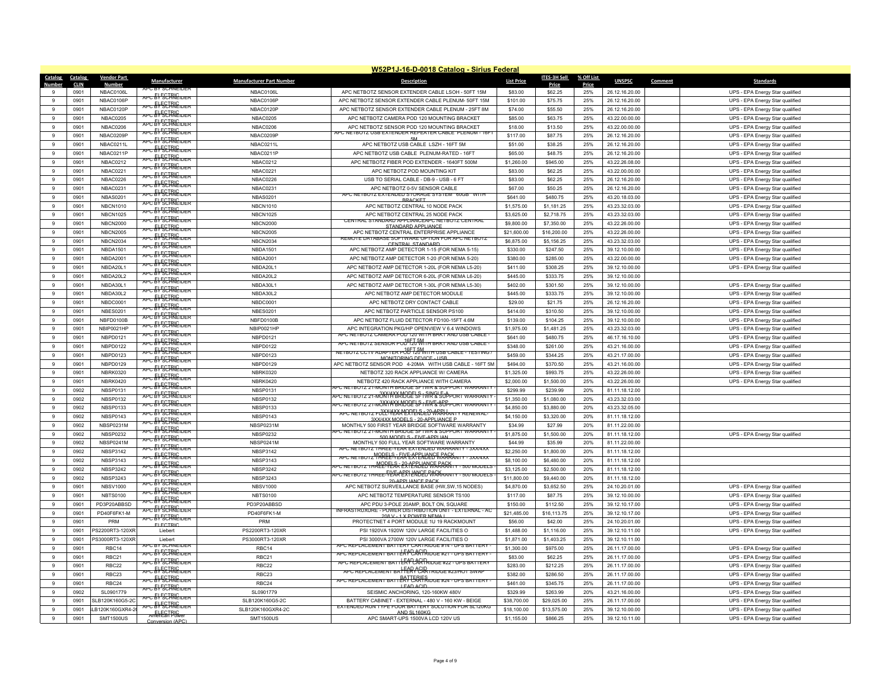|                           | W52P1J-16-D-0018 Catalog - Sirius Federal |                                |                                      |                                 |                                                                                                              |                         |                         |            |                                  |                                                                    |  |  |
|---------------------------|-------------------------------------------|--------------------------------|--------------------------------------|---------------------------------|--------------------------------------------------------------------------------------------------------------|-------------------------|-------------------------|------------|----------------------------------|--------------------------------------------------------------------|--|--|
| Catalog                   | Catalog                                   | <b>Vendor Part</b>             | Manufacturer                         | <b>Manufacturer Part Number</b> | <b>Description</b>                                                                                           | <b>List Price</b>       | ITES-3H Sell            | % Off List | <b>UNSPSC</b>                    | Comment<br><b>Standards</b>                                        |  |  |
| <b>Number</b><br>$\alpha$ | <b>CLIN</b>                               | Number                         | PU BY SUHNEIDI                       |                                 |                                                                                                              |                         | Price                   | Price      |                                  |                                                                    |  |  |
| $\alpha$                  | 0901                                      | NBAC0106L                      | APC EY SCHNEIDER                     | NBAC0106L                       | APC NETBOTZ SENSOR EXTENDER CABLE LSOH - 50FT 15M                                                            | \$83.00                 | \$62.25                 | 25%        | 26.12.16.20.00                   | UPS - EPA Energy Star qualified                                    |  |  |
| 9                         | 0901<br>0901                              | NBAC0106P<br>NRAC0120P         | APC BY SCHNEIDER                     | NBAC0106F<br>NBAC0120P          | APC NETBOTZ SENSOR EXTENDER CABLE PLENUM-50FT 15M<br>APC NETBOTZ SENSOR EXTENDER CABLE PLENUM - 25FT 8M      | \$101.00<br>\$74.00     | \$75.75<br>\$55.50      | 25%<br>25% | 26.12.16.20.00<br>26.12.16.20.00 | UPS - EPA Energy Star qualified<br>UPS - EPA Energy Star qualified |  |  |
| 9                         | 0901                                      | <b>NBAC0205</b>                | <del>APC EV SCIRIC DER</del>         | <b>NBAC0205</b>                 | APC NETBOTZ CAMERA POD 120 MOUNTING BRACKET                                                                  | \$85.00                 | \$63.75                 | 25%        | 43.22.00.00.00                   | UPS - EPA Energy Star qualified                                    |  |  |
| 9                         | 0901                                      | NBAC0206                       | APC: EVECTRIC                        | NBAC0206                        | APC NETBOTZ SENSOR POD 120 MOUNTING BRACKET                                                                  | \$18.00                 | \$13.50                 | 25%        | 43.22.00.00.00                   |                                                                    |  |  |
| 9                         |                                           | NBAC0209P                      | APC EV SCHRIEIDER                    |                                 | C NETBUTZ USB EXTENDER REPEATER CABLE PLENUM - T6                                                            |                         |                         | 25%        |                                  | UPS - EPA Energy Star qualified                                    |  |  |
| $\mathbf{9}$              | 0901<br>0901                              | NBAC0211L                      | APC EY SCHNEIDER                     | NBAC0209F<br>NBAC0211L          | APC NETBOTZ USB CABLE LSZH - 16FT 5M                                                                         | \$117.00<br>\$51.00     | \$87.75<br>\$38.25      | 25%        | 26.12.16.20.00<br>26.12.16.20.00 | UPS - EPA Energy Star qualified<br>UPS - EPA Energy Star qualified |  |  |
| 9                         | 0901                                      | NBAC0211P                      | APC EV SCHRIEIDER                    | NBAC0211P                       | APC NETBOTZ USB CABLE PLENUM-RATED - 16FT                                                                    | \$65.00                 | \$48.75                 | 25%        | 26.12.16.20.00                   | UPS - EPA Energy Star qualified                                    |  |  |
| 9                         | 0901                                      | NBAC0212                       | APC EV SCHNEIDER                     | NBAC0212                        | APC NETBOTZ FIBER POD EXTENDER - 1640FT 500M                                                                 | \$1,260.00              | \$945.00                | 25%        | 43.22.26.08.00                   | UPS - EPA Energy Star qualified                                    |  |  |
| $\mathbf{9}$              | 0901                                      | NBAC022                        | apc & FSCTRIC der                    | <b>NBAC0221</b>                 | APC NETBOTZ POD MOUNTING KIT                                                                                 | \$83.00                 | \$62.25                 | 25%        | 43.22.00.00.00                   | UPS - EPA Energy Star qualified                                    |  |  |
| $\mathbf{g}$              | 0901                                      | NBAC0226                       | <del>APC &amp; SCIRICIDER</del>      | NBAC0226                        | USB TO SERIAL CABLE - DB-9 - USB - 6 FT                                                                      | \$83.00                 | \$62.25                 | 25%        | 26.12.16.20.00                   | UPS - EPA Energy Star qualified                                    |  |  |
| 9                         | 0901                                      | <b>NBAC0231</b>                | APC & SCHNEIDER                      | <b>NBAC0231</b>                 | APC NETBOTZ 0-5V SENSOR CABLE                                                                                | \$67.00                 | \$50.25                 | 25%        | 26.12.16.20.00                   | UPS - EPA Energy Star qualified                                    |  |  |
| $\mathbf{g}$              | 0901                                      | NBAS0201                       | apc & SCHNEIDER                      | <b>NBAS0201</b>                 | APC NETBOTZ EXTENDED STORAGE SYSTEM 60GB WITH                                                                | \$641.00                | \$480.75                | 25%        | 43.20.18.03.00                   | UPS - EPA Energy Star qualified                                    |  |  |
| 9                         | 0901                                      | <b>NBCN1010</b>                | APC EVECTRIC                         | <b>NBCN1010</b>                 | <b>BRACKET</b><br>APC NETBOTZ CENTRAL 10 NODE PACK                                                           | \$1,575.00              | \$1,181.25              | 25%        | 43.23.32.03.00                   | UPS - EPA Energy Star qualified                                    |  |  |
| 9                         | 0901                                      | <b>NBCN1025</b>                | APC EV SCHRIEIDER                    | <b>NBCN1025</b>                 | APC NETBOTZ CENTRAL 25 NODE PACK                                                                             | \$3,625.00              | \$2,718.75              | 25%        | 43.23.32.03.00                   | UPS - EPA Energy Star qualified                                    |  |  |
| 9                         | 0901                                      | <b>NBCN2000</b>                | <del>apc &amp; ECTRIC der</del>      | <b>NBCN2000</b>                 | (AL STANDARD APPLIANCEAPC NETBOTZ CENTRAL                                                                    | \$9,800.00              | \$7,350.00              | 25%        | 43.22.26.00.00                   | UPS - EPA Energy Star qualified                                    |  |  |
| $\mathbf{g}$              | 0901                                      | <b>NBCN2005</b>                | APC RYSCIRIC TOFR                    | <b>NBCN2005</b>                 | STANDARD APPLIANCE<br>APC NETBOTZ CENTRAL ENTERPRISE APPLIANCE                                               | \$21,600.00             | \$16,200.00             | 25%        | 43.22.26.00.00                   | UPS - EPA Energy Star qualified                                    |  |  |
| 9                         | 0901                                      | <b>NBCN2034</b>                | APC EY SCHNEIDER                     | <b>NBCN2034</b>                 | REMOTE DATABASE SOFTWARE OPTION FOR APC NETBOTZ                                                              | \$6,875.00              | \$5,156.25              | 25%        | 43.23.32.03.00                   | UPS - EPA Energy Star qualified                                    |  |  |
| $\mathbf{g}$              | 0901                                      | <b>NBDA1501</b>                | APC EV SCHRIEIDER                    | <b>NBDA1501</b>                 | CENTRAL STANDARD<br>APC NETBOTZ AMP DETECTOR 1-15 (FOR NEMA 5-15)                                            | \$330.00                | \$247.50                | 25%        | 39.12.10.00.00                   | UPS - EPA Energy Star qualified                                    |  |  |
| 9                         | 0901                                      | <b>NBDA2001</b>                | <del>APC: EV SCIRIC DER</del>        | <b>NBDA2001</b>                 | APC NETBOTZ AMP DETECTOR 1-20 (FOR NEMA 5-20)                                                                | \$380.00                | \$285.00                | 25%        | 43 22 00 00 00                   | UPS - EPA Energy Star qualified                                    |  |  |
| $\mathbf{9}$              | 0901                                      | NBDA20L1                       | <b>APC ENECTRIC DER</b>              | NBDA20L1                        | APC NETBOTZ AMP DETECTOR 1-20L (FOR NEMA L5-20)                                                              | \$411.00                | \$308.25                | 25%        | 39.12.10.00.00                   | UPS - EPA Energy Star qualified                                    |  |  |
| $\alpha$                  | 0901                                      | NBDA20L2                       | <del>apc &amp;V&amp;CTRNEider</del>  | NBDA20L2                        | APC NETBOTZ AMP DETECTOR 6-20L (FOR NEMA L6-20)                                                              | \$445.00                | \$333.75                | 25%        | 39.12.10.00.00                   |                                                                    |  |  |
| 9                         | 0901                                      | NBDA30L1                       | APC EY SCHNEIDER                     | NBDA30L1                        | APC NETBOTZ AMP DETECTOR 1-30L (FOR NEMA L5-30)                                                              | \$402.00                | \$301.50                | 25%        | 39.12.10.00.00                   | UPS - EPA Energy Star qualified                                    |  |  |
| $\mathbf{9}$              | 0901                                      | NBDA30L2                       | APC EV SCHRIEIDER                    | NBDA30L2                        | APC NETBOTZ AMP DETECTOR MODULE                                                                              | \$445.00                | \$333.75                | 25%        | 39.12.10.00.00                   | UPS - EPA Energy Star qualified                                    |  |  |
| $\mathbf{g}$              | 0901                                      | NBDC0001                       | APC EY SCHRIEIDER                    | NBDC0001                        | APC NETBOTZ DRY CONTACT CABLE                                                                                | \$29.00                 | \$21.75                 | 25%        | 26.12.16.20.00                   | UPS - EPA Energy Star qualified                                    |  |  |
| 9                         | 0901                                      | <b>NBFS0201</b>                | APC EY SCHNEIDER                     | <b>NBES0201</b>                 | APC NETBOTZ PARTICLE SENSOR PS100                                                                            | \$414.00                | \$310.50                | 25%        | 39.12.10.00.00                   | UPS - EPA Energy Star qualified                                    |  |  |
| $\mathbf{9}$              | 0901                                      | NBFD0100F                      | APC EY SCHNEIDER                     | NBFD0100B                       | APC NETBOTZ FLUID DETECTOR FD100-15FT 4.6M                                                                   | \$139.00                | \$104.25                | 25%        | 39.12.10.00.00                   | UPS - EPA Energy Star qualified                                    |  |  |
| $\mathbf{9}$              | 0901                                      | NBIP0021HP                     | APC EV SCHRIEIDER                    | NBIP0021HF                      | APC INTEGRATION PKG/HP OPENVIEW V 6.4 WINDOWS                                                                | \$1,975.00              | \$1,481.25              | 25%        | 43.23.32.03.00                   | UPS - EPA Energy Star qualified                                    |  |  |
| 9                         | 0901                                      | NBPD0121                       | APC EY SCHNEIDER                     | NBPD0121                        | APC NETBOTZ CAMERA POD 120 WITH BRKT AND USB CABLE                                                           | \$641.00                | \$480.75                | 25%        | 46.17.16.10.00                   | UPS - EPA Energy Star qualified                                    |  |  |
| $\mathsf g$               | 0901                                      | NBPD0122                       | APC EV SCHNEIDER<br>APC EY SCHNEIDER | NBPD0122                        | APC NETBOTZ SENSOR POD <sup>16</sup> EJOWITH BRKT AND USB CABLE                                              | \$348.00                | \$261.00                | 25%        | 43.21.16.00.00                   | UPS - EPA Energy Star qualified                                    |  |  |
| 9                         | 0901                                      | NBPD0123                       | APC & SCHNEIDER                      | NBPD0123                        | NETBOTZ CCTV ADAPTER P $\mathrm{diff}$ Mith USB CABLE - TESTING /<br>MONITORING DEVICE - USB                 | \$459.00                | \$344.25                | 25%        | 43.21.17.00.00                   | UPS - EPA Energy Star qualified                                    |  |  |
| 9                         | 0901                                      | NRPD0129                       | APC EV SCIRIC TOFR                   | NBPD0129                        | APC NETBOTZ SENSOR POD 4-20MA WITH USB CABLE - 16FT 5M                                                       | \$494.00                | \$370.50                | 25%        | 43.21.16.00.00                   | UPS - EPA Energy Star qualified                                    |  |  |
| $\mathsf g$               | 0901                                      | NBRK0320                       | APC EV SCHNEIDER                     | <b>NBRK0320</b>                 | NETBOTZ 320 RACK APPLIANCE W/ CAMERA                                                                         | \$1,325.00              | \$993.75                | 25%        | 43.22.26.00.00                   | UPS - EPA Energy Star qualified                                    |  |  |
| 9                         | 0901                                      | NBRK0420                       | APC EV SCHNEIDER                     | NBRK0420                        | NETBOTZ 420 RACK APPLIANCE WITH CAMERA                                                                       | \$2,000.00              | \$1,500.00              | 25%        | 43.22.26.00.00                   | UPS - EPA Energy Star qualified                                    |  |  |
| 9                         | 0902                                      | <b>NBSP0131</b>                | APC EY SCHNEIDER                     | <b>NBSP0131</b>                 | APC NETBOTZ 21-MONTH BRIDGE SFTWR & SUPPORT WARRANTY<br>APC NETBOTZ 21-MÖNYHYYAMOOESE TÖRKE SÜPPORT WARRANTY | \$299.99                | \$239.99                | 20%        | 81.11.18.12.00                   |                                                                    |  |  |
| $\mathbf{g}$              | 0902                                      | <b>NBSP0132</b>                | APC EV SCHRIEIDER                    | <b>NBSP0132</b>                 | <u>apc netbotz z1-műXY/AYXMOCE5S fWK5z9CPport warranty</u>                                                   | \$1,350.00              | \$1,080.00              | 20%        | 43.23.32.03.00                   |                                                                    |  |  |
| 9                         | 0902                                      | <b>NBSP0133</b>                | APC & SCHNEIDER                      | <b>NBSP0133</b>                 | tbotz fûll <sup>y</sup> (llamer) elîn de yek an iy renewal                                                   | \$4,850.00              | \$3,880.00              | 20%        | 43.23.32.05.00                   |                                                                    |  |  |
| 9                         | 0902                                      | <b>NBSP0143</b>                | apc &V SCHNEIDER                     | NBSP0143                        | 3XX/4XX MODELS - 20-APPLIANCE P                                                                              | \$4,150.00              | \$3,320.00              | 20%        | 81.11.18.12.00                   |                                                                    |  |  |
| $\mathbf{9}$              | 0902                                      | NBSP0231M                      | APC RYSCIRIC TOFR                    | NBSP0231M                       | MONTHLY 500 FIRST YFAR BRIDGE SOFTWARE WARRANTY<br>PC NETBOTZ 21-MONTH BRIDGE SFTWR & SUPPORT WARRANT'       | \$34.99                 | \$27.99                 | 20%        | 81.11.22.00.00                   |                                                                    |  |  |
| $\mathbf{g}$              | 0902                                      | <b>NBSP0232</b>                | APC & SCHNEIDER                      | <b>NBSP0232</b>                 | 500 MODELS - FIVE-APPLIAN                                                                                    | \$1,875.00              | \$1,500.00              | 20%        | 81.11.18.12.00                   | UPS - EPA Energy Star qualified                                    |  |  |
| 9                         | 0902                                      | NBSP0241M                      | <b>vPC EY SCHRIEIDER</b>             | NBSP0241M                       | MONTHLY 500 FULL YEAR SOFTWARE WARRANTY<br>C NETBOTZ THREE-YEAR EXTENDED WARRANTY - 3XX/4X                   | \$44.99                 | \$35.99                 | 20%        | 81.11.22.00.00                   |                                                                    |  |  |
| $\mathbf{g}$              | 0902                                      | <b>NBSP3142</b>                | APC RY SCIRIC TOP R                  | <b>NBSP3142</b>                 | APC NETBOTZ MARELE-YEAK EXPENDED WARRANTY - 3XX/4XX                                                          | \$2,250.00              | \$1,800.00              | 20%        | 81.11.18.12.00                   |                                                                    |  |  |
| $\overline{9}$            | 0902                                      | <b>NBSP3143</b>                | <b>APC EV SCHNEIDER</b>              | <b>NBSP3143</b>                 | APC NETBOTZ THREEPELAR 20-AERBLANGERACK TY - 500 MODELS                                                      | \$8,100.00              | \$6,480.00              | 20%        | 81.11.18.12.00                   |                                                                    |  |  |
| 9                         | 0902                                      | <b>NBSP3242</b>                | APC EV SCHRIEIDER                    | <b>NBSP3242</b>                 | APC NETBOTZ THREE-FLARER LANGE-PAGK.<br>APC NETBOTZ THREE-FLARER LANGED WARRANTY - 500 MODELS                | \$3,125.00              | \$2,500.00              | 20%        | 81.11.18.12.00                   |                                                                    |  |  |
| $\mathbf{9}$              | 0902                                      | <b>NBSP3243</b>                | APC RYSCHNEIDER                      | <b>NBSP3243</b>                 | 20-APPLIANCE PACK                                                                                            | \$11,800.00             | \$9,440.00              | 20%        | 81.11.18.12.00                   |                                                                    |  |  |
| $\mathbf{9}$              | 0901                                      | <b>NBSV1000</b>                | APC EY SCHNEIDER                     | <b>NBSV1000</b>                 | APC NETBOTZ SURVEILLANCE BASE (HW.SW.15 NODES)                                                               | \$4,870.00              | \$3,652.50              | 25%        | 24 10 20 01 00                   | UPS - EPA Energy Star qualified                                    |  |  |
| 9<br>$\mathbf{g}$         | 0901                                      | <b>NBTS0100</b><br>PD3P20ABBSD | APC EY SCHNEIDER                     | <b>NBTS0100</b>                 | APC NETBOTZ TEMPERATURE SENSOR TS100                                                                         | \$117.00                | \$87.75                 | 25%<br>25% | 39.12.10.00.00                   | UPS - EPA Energy Star qualified                                    |  |  |
| 9                         | 0901<br>0901                              | PD40F6FK1-M                    | <b>ver: EVECTRIC</b>                 | PD3P20ABBSD<br>PD40F6FK1-M      | APC PDU 3-POLE 20AMP, BOLT ON, SQUARE<br>- POWER DISTRIBUTION UNIT - EXTERNAL - AO                           | \$150.00<br>\$21,485.00 | \$112.50<br>\$16,113.75 | 25%        | 39.12.10.17.00<br>39.12.10.17.00 | UPS - EPA Energy Star qualified                                    |  |  |
|                           |                                           | PRM                            | APC EV SCIRIC TO PR                  | PRM                             | 208 V - 1 X POWER NEMA I                                                                                     |                         |                         |            |                                  | UPS - EPA Energy Star qualified                                    |  |  |
| 9<br>9                    | 0901<br>0901                              | S2200RT3-120XR                 | <b>ELECTRIC</b><br>Lieber            | PS2200RT3-120XR                 | PROTECTNET 4 PORT MODULE 1U 19 RACKMOUNT<br>PSI 1920VA 1920W 120V LARGE FACILITIES O                         | \$56.00<br>\$1,488.00   | \$42.00<br>\$1,116.00   | 25%<br>25% | 24.10.20.01.00<br>39.12.10.11.00 | UPS - EPA Energy Star qualified                                    |  |  |
| 9                         | 0901                                      | PS3000RT3-120XR                | I jebert                             | PS3000RT3-120XR                 | PSI 3000VA 2700W 120V LARGE FACILITIES O                                                                     | \$1,871.00              | \$1,403.25              | 25%        | 39.12.10.11.00                   | UPS - EPA Energy Star qualified                                    |  |  |
| $\mathbf{9}$              | 0901                                      | RBC <sub>14</sub>              | APC BY SCHNEIDEI                     | RBC <sub>14</sub>               | APC REPLACEMENT BATTERY CARTRIDGE #14 - UPS BATTERY -                                                        | \$1,300.00              | \$975.00                | 25%        | 26.11.17.00.00                   | UPS - EPA Energy Star qualified                                    |  |  |
| $\mathbf{g}$              | 0901                                      | RBC <sub>21</sub>              | APC EY SCHRIEIDER                    | RBC21                           | APC REPLACEMENT BATTER PLACING #21 - UPS BATTERY -                                                           | \$83.00                 | \$62.25                 | 25%        | 26.11.17.00.00                   | UPS - EPA Energy Star qualified                                    |  |  |
| 9                         | 0901                                      | RBC <sub>22</sub>              | <del>apc &amp;VSCIRNEIDER</del>      | RBC22                           | APC REPLACEMENT BATTER PLACE THOUGH #22 - UPS BATTERY                                                        | \$283.00                | \$212.25                | 25%        | 26.11.17.00.00                   | UPS - EPA Energy Star qualified                                    |  |  |
| 9                         | 0901                                      | RBC <sub>23</sub>              | APC BY SCHNEIDER                     | RBC <sub>23</sub>               | APC REPLACEMENT BATERY CARTRIDGE #23/HOT SWAP                                                                | \$382.00                | \$286.50                | 25%        | 26.11.17.00.00                   | UPS - EPA Energy Star qualified                                    |  |  |
| $\mathbf{9}$              | 0901                                      | RBC24                          | APC BY SCHNEIDER                     | RBC24                           | <del>apc replacement batter (ERRFR).</del>                                                                   | \$461.00                | \$345.75                | 25%        | 26.11.17.00.00                   | UPS - EPA Energy Star qualified                                    |  |  |
| 9                         | 0902                                      | SL0901779                      | APC EV SCHNEIDER                     | SL0901779                       | LEAD ACID<br>SEISMIC ANCHORING, 120-160KW 480V                                                               | \$329.99                | \$263.99                | 20%        | 43.21.16.00.00                   | UPS - EPA Energy Star qualified                                    |  |  |
| $\alpha$                  | 0901                                      | SLB120K160G5-2C                | <b>APC EY SCIRIC DER</b>             | SLB120K160G5-2C                 | BATTERY CABINET - EXTERNAL - 480 V - 160 KW - BEIGE                                                          | \$38,700.00             | \$29,025.00             | 25%        | 26.11.17.00.00                   | UPS - EPA Energy Star qualified                                    |  |  |
| $\mathbf{g}$              | 0901                                      | B120K160GXR4-2                 | APC EV SCHRIEIDER                    | SLB120K160GXR4-2C               | EXTENDED RUN TYPE FOUR BATTERY SOLUTION FOR SL120KG                                                          | \$18,100.00             | \$13,575.00             | 25%        | 39.12.10.00.00                   | UPS - EPA Energy Star qualified                                    |  |  |
| 9                         | 0901                                      | <b>SMT1500US</b>               | American Power                       | <b>SMT1500US</b>                | AND SL160KG<br>APC SMART-UPS 1500VA LCD 120V US                                                              | \$1,155.00              | \$866.25                | 25%        | 39.12.10.11.00                   | UPS - EPA Energy Star qualified                                    |  |  |
|                           |                                           |                                | Conversion (APC)                     |                                 |                                                                                                              |                         |                         |            |                                  |                                                                    |  |  |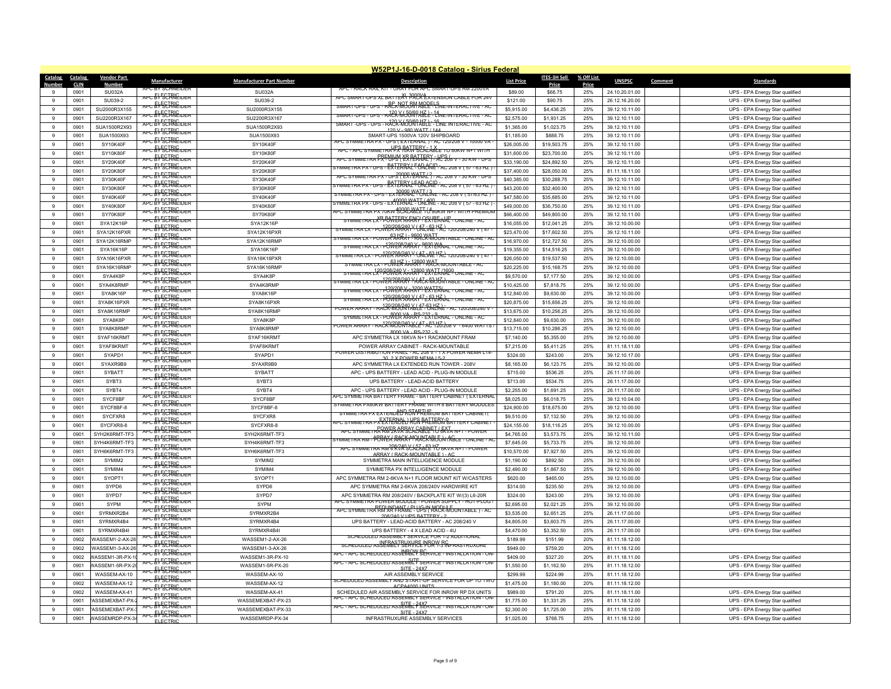|                    | W52P1J-16-D-0018 Catalog - Sirius Federal |                             |                                            |                                 |                                                                                                                    |                            |                            |            |                                  |         |                                                                    |  |
|--------------------|-------------------------------------------|-----------------------------|--------------------------------------------|---------------------------------|--------------------------------------------------------------------------------------------------------------------|----------------------------|----------------------------|------------|----------------------------------|---------|--------------------------------------------------------------------|--|
| Catalog            | Catalog                                   | <b>Vendor Part</b>          | Manufacturer                               | <b>Manufacturer Part Number</b> | <b>Description</b>                                                                                                 | <b>List Price</b>          | ITES-3H Sell               | % Off List | <b>UNSPSC</b>                    | Comment | <b>Standards</b>                                                   |  |
| Numho              | <b>CLIN</b>                               | Number                      | PU BY SUHNEID                              |                                 |                                                                                                                    |                            | Price                      | Price      |                                  |         |                                                                    |  |
|                    | 0901                                      | SU032A                      | <del>apc &amp;V&amp;CHNEider</del>         | SU032A                          | APC SMART-UPS XL BATTERY PACK EXTENSION CABLE FOR 24V                                                              | \$89.00                    | \$66.75                    | 25%        | 24.10.20.01.00                   |         | UPS - EPA Energy Star qualified                                    |  |
| $\alpha$           | 0901                                      | SU039-2                     | APC: EY: SCIRNE TOFF                       | SU039-2                         | <del>. ups - r&amp;CrNWJJMMQQE! Sne-interactive - a</del> c<br>SMART-UPS                                           | \$121.00                   | \$90.75                    | 25%        | 26.12.16.20.00                   |         | UPS - EPA Energy Star qualified                                    |  |
| 9                  | 0901                                      | SU2000R3X155                | <del>apc &amp;V SCIRIC der</del>           | SU2000R3X155                    | RACK-MOOKTABLE-LINE-INTERACTIVE-AC                                                                                 | \$5,915.00                 | \$4,436.25                 | 25%        | 39.12.10.11.00                   |         | UPS - EPA Energy Star qualified                                    |  |
| $\overline{9}$     | 0901                                      | SU2200R3X167                | APC EY SCHRIEIDER                          | SU2200R3X167                    |                                                                                                                    | \$2,575.00                 | \$1,931.25                 | 25%        | 39.12.10.11.00                   |         | UPS - EPA Energy Star qualified                                    |  |
| $\alpha$           | 0901                                      | SUA1500R2X93                | <del>vrc El ECTRIC der</del>               | SUA1500R2X93                    | 120 V - 980 WATT / 144                                                                                             | \$1,365.00                 | \$1,023.75                 | 25%        | 39.12.10.11.00                   |         | UPS - EPA Energy Star qualified                                    |  |
| $\alpha$           | 0901                                      | SUA1500X93                  | APC EY SCHNEIDER                           | SUA1500X93                      | SMART-UPS 1500VA 120V SHIPBOARD<br>APC SYMMETRA PX - UPS (EXTERNAL ) - AC 120/208 V                                | \$1,185.00                 | \$888.75                   | 25%        | 39.12.10.11.00                   |         | UPS - EPA Energy Star qualified                                    |  |
| $\mathbf{g}$       | 0901                                      | SY10K40F                    | APC EY SCHNEIDER                           | SY10K40F                        | APC - APC SYMMETRA PS RAW SEXUABLE TO BUKW N+1 WITH                                                                | \$26,005.00                | \$19,503.75                | 25%        | 39.12.10.11.00                   |         | UPS - EPA Energy Star qualified                                    |  |
| $\mathbf{g}$       | 0901                                      | <b>SY10K80F</b>             | APC EY SCHRIEIDER                          | SY10K80F                        | APC SYMMETRA BREMINA LERERATERY - ALP 208 V - 30 KW - UPS                                                          | \$31,600.00                | \$23,700.00                | 25%        | 39.12.10.11.00                   |         | UPS - EPA Energy Star qualified                                    |  |
| 9                  | 0901                                      | <b>SY20K40F</b>             | <del>apc &amp;V SCIRIC der</del>           | <b>SY20K40F</b>                 | UPS-BATERRXLFORCRE-AC 208 V (57                                                                                    | \$33,190.00                | \$24,892.50                | 25%        | 39.12.10.11.00                   |         | UPS - EPA Energy Star qualified                                    |  |
| $\overline{9}$     | 0901                                      | SY20K80F                    | APC EL SCIRICIDER                          | <b>SY20K80F</b>                 | <u>METRA PX - UPS<sup>200</sup>00 NEATAL ? - AC 208 V</u>                                                          | \$37,400.00                | \$28,050.00                | 25%        | 81.11.18.11.00                   |         | UPS - EPA Energy Star qualified                                    |  |
| 9                  | 0901                                      | SY30K40F                    | APC EY SCHNEIDER                           | SY30K40F                        | PS- <del>EXTERRXLFORANE-AC 208 V</del>                                                                             | \$40,385.00                | \$30,288.75<br>\$32,400.00 | 25%        | 39.12.10.11.00                   |         | UPS - EPA Energy Star qualified                                    |  |
| 9<br>$\alpha$      | 0901<br>0901                              | <b>SY30K80F</b><br>SY40K40F | APC EY SCHNEIDER                           | SY30K80F<br>SY40K40F            | <del>( A PX - UPS - EX ใ0000 AMATTIA</del> - AC 208 V ( 57/63 HZ )                                                 | \$43,200.00<br>\$47,580.00 | \$35,685.00                | 25%<br>25% | 39.12.10.11.00                   |         | UPS - EPA Energy Star qualified                                    |  |
| 9                  | 0901                                      | SY40K80F                    | APC EV SCHRIEIDER                          | SY40K80F                        | SYMMETRA PX - UPS - EXTERNAL <sup>A T</sup> JNL1NE - AC 208 V (57 - 63 HZ )                                        | \$49,000.00                |                            | 25%        | 39.12.10.11.00                   |         | UPS - EPA Energy Star qualified                                    |  |
|                    |                                           | SY70K80F                    | APC EV SCHNEIDER                           | SY70K80F                        | APC SYMMETRA PX 70KW <sup>400</sup> 00 ANAIT (4 sukw n+1 with PREMIUM                                              |                            | \$36,750.00                |            | 39.12.10.11.00                   |         | UPS - EPA Energy Star qualified                                    |  |
| 9<br>9             | 0901                                      |                             | <del>apc El ECIRIC de r</del>              |                                 | TRA LXP-PONTER X FENGY PEN PERTAHE                                                                                 | \$66,400.00                | \$49,800.00                | 25%        | 39.12.10.11.00                   |         | UPS - EPA Energy Star qualified                                    |  |
| 9                  | 0901<br>0901                              | SYA12K16P<br>SYA12K16PXR    | APC EY SCHNEIDER                           | SYA12K16P<br>SYA12K16PXR        | RA LX - PO <del>WER ARRAY - UN 182 - ZC</del> 120/208/240 V                                                        | \$16,055.00<br>\$23,470.00 | \$12,041.25<br>\$17,602.50 | 25%<br>25% | 39.12.10.00.00                   |         | UPS - EPA Energy Star qualified                                    |  |
|                    |                                           |                             | apc & SCHNEIDER                            |                                 | OWER <sup>S</sup> ARKAY <sup>9</sup> RACK MJONTABLE                                                                |                            |                            |            | 39.12.10.11.00                   |         | UPS - EPA Energy Star qualified                                    |  |
| 9<br>$\mathbf{g}$  | 0901<br>0901                              | SYA12K16RMP<br>SYA16K16F    | APC EY SCHNEIDER                           | SYA12K16RMP<br>SYA16K16P        | 23 WER ARRY - 9600 LANAL                                                                                           | \$16,970.00                | \$12,727.50<br>\$14,516.25 | 25%<br>25% | 39.12.10.00.00                   |         | UPS - EPA Energy Star qualified                                    |  |
| 9                  |                                           |                             | <del>APC EV SCIRIC 10FR</del>              |                                 | 2020208/240 V (37 - 63 HZ) 120708/240 V (47                                                                        | \$19,355.00                |                            |            | 39.12.10.00.00                   |         | UPS - EPA Energy Star qualified                                    |  |
|                    | 0901                                      | SYA16K16PXR                 | <del>NPC El ECIRICIDER</del>               | SYA16K16PXR                     | <del>- PUNEKARAY<sup>9</sup> KALK-MOUNTABLE</del>                                                                  | \$26,050.00                | \$19,537.50                | 25%        | 39.12.10.00.00                   |         | UPS - EPA Energy Star qualified                                    |  |
| 9<br>9             | 0901<br>0901                              | SYA16K16RMP<br>SYA4K8P      | <b>APC EY SCHRIEIDER</b>                   | SYA16K16RMP<br>SYA4K8F          | <del>129/208/240 Xrd2899 2XPER/JA09</del>                                                                          | \$20,225.00<br>\$9,570.00  | \$15,168.75                | 25%<br>25% | 39.12.10.00.00                   |         | UPS - EPA Energy Star qualified                                    |  |
| 9                  | 0901                                      | SYA4K8RMF                   | <del>APC EV SCIRICIDER</del>               | SYA4K8RMF                       | POW <sup>12</sup> R/2RR/2AP - KAZ-R-RJUTA LABLE                                                                    | \$10,425.00                | \$7,177.50<br>\$7,818.75   | 25%        | 39.12.10.00.00<br>39.12.10.00.00 |         | UPS - EPA Energy Star qualified                                    |  |
|                    |                                           |                             | APC EY SCHNEIDER                           |                                 | - 23 WER X 3200 PATERNAL                                                                                           |                            |                            |            |                                  |         | UPS - EPA Energy Star qualified                                    |  |
| 9<br>$\alpha$      | 0901                                      | SYA8K16P                    | APC EY SCHRIEIDER                          | SYA8K16P                        | 12062282402647ER12ERNAL-ONLINE-AC                                                                                  | \$12,840.00                | \$9,630.00                 | 25%        | 39.12.10.00.00                   |         | UPS - EPA Energy Star qualified                                    |  |
| 9                  | 0901<br>0901                              | SYA8K16PXR<br>SYA8K16RMP    | APC RYSCHNEIDER                            | SYA8K16PXF<br>SYA8K16RMF        | RA <sup>1</sup> 38-3036349 AG 47-53NT MF - AC 120/208/240                                                          | \$20,875.00<br>\$13,675.00 | \$15,656.25<br>\$10,256.25 | 25%<br>25% | 39.12.10.00.00<br>39.12.10.00.00 |         | UPS - EPA Energy Star qualified                                    |  |
| 9                  | 0901                                      | SYA8K8P                     | apc & SCHNEIDER                            | SYA8K8P                         | ka lx - power X <del>ArRS -23X</del> Ternal - online - ak                                                          |                            | \$9,630.00                 | 25%        |                                  |         | UPS - EPA Energy Star qualified                                    |  |
| 9                  |                                           |                             | apc & SCHNEIDER                            |                                 | RACK-WOURIALLE - AC3-2008 V<br>$-6400$ WATTS                                                                       | \$12,840.00                |                            |            | 39.12.10.00.00                   |         | UPS - EPA Energy Star qualified                                    |  |
|                    | 0901<br>0901                              | SYA8K8RMF<br>SYAF16KRMT     | <sub></sub> ┱╒┍╴╒┡┖╦╲┋╊╣ <del>Ҁ</del> ╓╖╒╒ | SYA8K8RMF<br>SYAF16KRMT         | 8000 VA - RS-232 - 9                                                                                               | \$13,715.00                | \$10,286.25<br>\$5,355.00  | 25%<br>25% | 39.12.10.00.00                   |         | UPS - EPA Energy Star qualified                                    |  |
| -9<br>$\mathbf{g}$ |                                           |                             | APC EV SCIRIC TOP R                        |                                 | APC SYMMETRA LX 16KVA N+1 RACKMOUNT FRAM                                                                           | \$7,140.00                 |                            |            | 39.12.10.00.00                   |         | UPS - EPA Energy Star qualified                                    |  |
|                    | 0901                                      | SYAF8KRMT                   | APC EY SCHNEIDER                           | SYAF8KRMT                       | POWER ARRAY CABINET - RACK-MOUNTABLE<br>POWER DISTRIBUTION PANEL - AC 208 V - 1 X POWER NEMA L14                   | \$7,215.00                 | \$5,411.25                 | 25%        | 81.11.18.11.00                   |         | UPS - EPA Energy Star qualified                                    |  |
| 9<br>-9            | 0901<br>0901                              | SYAPD1<br>SYAXR9B9          | APC EY SCHNEIDER                           | SYAPD1<br>SYAXR9B9              | 30 2 X POWER NEMA L5-2<br>APC SYMMETRA LX EXTENDED RUN TOWER - 208V                                                | \$324.00<br>\$8,165.00     | \$243.00<br>\$6,123.75     | 25%<br>25% | 39.12.10.17.00<br>39.12.10.00.00 |         | UPS - EPA Energy Star qualified<br>UPS - EPA Energy Star qualified |  |
| $\mathbf{g}$       | 0901                                      | SYBATT                      | APC EVSCHNEIDER                            | <b>SYBATT</b>                   | APC - UPS BATTERY - LEAD ACID - PLUG-IN MODULE                                                                     | \$715.00                   | \$536.25                   | 25%        | 26.11.17.00.00                   |         | UPS - EPA Energy Star qualified                                    |  |
| 9                  | 0901                                      | SYBT3                       | APC EY SCHNEIDER                           | SYBT3                           | UPS BATTERY - LEAD-ACID BATTERY                                                                                    | \$713.00                   | \$534.75                   | 25%        | 26.11.17.00.00                   |         | UPS - EPA Energy Star qualified                                    |  |
| 9                  | 0901                                      | SYBT4                       | APC EY SCHNEIDER                           | SYBT4                           | APC - UPS BATTERY - LEAD ACID - PLUG-IN MODULE                                                                     | \$2,255.00                 | \$1,691.25                 | 25%        | 26.11.17.00.00                   |         | UPS - EPA Energy Star qualified                                    |  |
| $\mathbf{g}$       | 0901                                      | SYCF8BF                     | APC EY SCHNEIDER                           | SYCF8BF                         | SYMMETRA BATTERY FRAME - BATTERY CABINET (EXTERNAL                                                                 | \$8,025.00                 | \$6,018.75                 | 25%        | 39.12.10.04.00                   |         | UPS - EPA Energy Star qualified                                    |  |
| 9                  | 0901                                      | SYCF8BF-8                   | APC EY SCHNEIDER                           | SYCF8BF-8                       | SYMMETRA PX80KW BATTERY FRAME WITH 8 BATTERY MODULES                                                               | \$24,900.00                | \$18,675.00                | 25%        | 39.12.10.00.00                   |         | UPS - EPA Energy Star qualified                                    |  |
| 9                  | 0901                                      | SYCFXR8                     | APC EY SCHNEIDER                           | SYCFXR8                         | SYMMETRA PX EXTENDED ROAD RELIGION BATTERY CABINETO                                                                | \$9,510.00                 | \$7,132.50                 | 25%        | 39.12.10.00.00                   |         | UPS - EPA Energy Star qualified                                    |  |
| $\mathbf{g}$       | 0901                                      | SYCFXR8-8                   | <b>APC EVECIBIC DER</b>                    | SYCFXR8-8                       | <u>mmetra px<sup>e</sup>XTERNAL) KBÑ BAETÆBXFBa</u>                                                                | \$24,155.00                | \$18,116.25                | 25%        | 39.12.10.00.00                   |         | UPS - EPA Energy Star qualified                                    |  |
| $\mathbf{g}$       | 0901                                      | SYH2K6RMT-TF3               | APC: EVECTRIC                              | SYH2K6RMT-TF3                   | APC SYMMETRA RWFR ORRAX CARINET (FATA N+1 - POWER                                                                  | \$4,765.00                 | \$3,573.75                 | 25%        | 39.12.10.11.00                   |         | UPS - EPA Energy Star qualified                                    |  |
| 9                  | 0901                                      | SYH4K6RMT-TF3               | APC EY SCHNEIDER                           | SYH4K6RMT-TF3                   | - PBRALK RARKY PHOLA RUTH ABLE - ONLINE -                                                                          | \$7,645.00                 | \$5,733.75                 | 25%        | 39.12.10.00.00                   |         | UPS - EPA Energy Star qualified                                    |  |
| 9                  | 0901                                      | SYH6K6RMT-TF3               | <b><i>APC E<del>V SCTRICIDER</del></i></b> | SYH6K6RMT-TF3                   | <del>apc symmetra rm<sup>208/240</sup>SCADAb02 H3 bkva n+1 - power</del>                                           | \$10,570.00                | \$7,927.50                 | 25%        | 39.12.10.00.00                   |         | UPS - EPA Energy Star qualified                                    |  |
| $\mathbf{g}$       | 0901                                      | SYMIM <sub>2</sub>          | APC EV SCIRIC TO PR                        | SYMIM2                          | ARRAY (RACK MOUNTARLE) - A<br>SYMMETRA MAIN INTELLIGENCE MODULE                                                    | \$1,190.00                 | \$892.50                   | 25%        | 39.12.10.00.00                   |         | UPS - EPA Energy Star qualified                                    |  |
| 9                  | 0901                                      | SYMIM4                      | APC: EV: SCHNEIDER                         | SYMIM4                          | SYMMETRA PX INTELLIGENCE MODULE                                                                                    | \$2,490.00                 | \$1,867.50                 | 25%        | 39.12.10.00.00                   |         | UPS - EPA Energy Star qualified                                    |  |
| $\alpha$           | 0901                                      | SYOPT1                      | <del>apc &amp;V&amp;CTRNEider</del>        | SYOPT1                          | APC SYMMETRA RM 2-6KVA N+1 FLOOR MOUNT KIT W/CASTERS                                                               | \$620.00                   | \$465.00                   | 25%        | 39.12.10.00.00                   |         | UPS - EPA Energy Star qualified                                    |  |
| $\mathbf{g}$       | 0901                                      | SYPD6                       | APC EVSCHNEIDER                            | SYPD6                           | APC SYMMETRA RM 2-6KVA 208/240V HARDWIRE KIT                                                                       | \$314.00                   | \$235.50                   | 25%        | 39.12.10.00.00                   |         | UPS - EPA Energy Star qualified                                    |  |
| 9                  | 0901                                      | SYPD7                       | APC EY SCHNEIDER                           | SYPD7                           | APC SYMMETRA RM 208/240V / BACKPLATE KIT W/(3) L6-20R                                                              | \$324.00                   | \$243.00                   | 25%        | 39.12.10.00.00                   |         | UPS - EPA Energy Star qualified                                    |  |
| $\alpha$           | 0901                                      | SYPM                        | APC EY SCHNEIDER                           | SYPM                            | APC SYMMETRA POWER MODULE - POWER SUPPLY - HOT-PLUG                                                                | \$2,695.00                 | \$2,021.25                 | 25%        | 39.12.10.00.00                   |         | UPS - EPA Energy Star qualified                                    |  |
| $\mathbf{g}$       | 0901                                      | SYRMXR2B4                   | APC: EVECTRIC                              | SYRMXR2B4                       | APC SYMMETRA REDUNDANT (PLUGSIN MODULE DE DE SYMMETRA REDUNDANT (PLUGSIN MODULE DE AC<br>208/240 V UPS BATTERY - 2 | \$3,535.00                 | \$2,651.25                 | 25%        | 26.11.17.00.00                   |         | UPS - EPA Energy Star qualified                                    |  |
| $\mathbf{g}$       | 0901                                      | SYRMXR4B4                   | APC E <del>V SCIRIC DER</del>              | SYRMXR4B4                       | UPS BATTERY - LEAD-ACID BATTERY - AC 208/240 V                                                                     | \$4,805.00                 | \$3,603.75                 | 25%        | 26.11.17.00.00                   |         | UPS - EPA Energy Star qualified                                    |  |
| $\mathbf{g}$       | 0901                                      | SYRMXR4B4I                  | <del>apc &amp;V&amp;CTRNEider</del>        | SYRMXR4B4I                      | UPS BATTERY - 4 X LEAD ACID - 4U                                                                                   | \$4,470.00                 | \$3,352.50                 | 25%        | 26.11.17.00.00                   |         | UPS - EPA Energy Star qualified                                    |  |
| -9                 | 0902                                      | <b>WASSEM1-2-AX-26</b>      | apc & SCHNEIDER                            | WASSEM1-2-AX-26                 | HEDULED ASSEMBLY SERVICE FOR 1-2 ADDI                                                                              | \$189.99                   | \$151.99                   | 20%        | 81.11.18.12.00                   |         |                                                                    |  |
| $\mathbf{g}$       | 0902                                      | WASSEM1-3-AX-26             | <b>APC EY SCHRIEIDER</b>                   | WASSEM1-3-AX-26                 | SCHEDULED ASSERBET SEKVICE POR Y-S REFRASTRUXURE                                                                   | \$949.00                   | \$759.20                   | 20%        | 81.11.18.12.00                   |         |                                                                    |  |
| 9                  | 0902                                      | VASSEM1-3R-PX-1             | APC EY SCHNEIDER                           | WASSEM1-3R-PX-10                | APC - APC SCHEDULED ASSEMBLY SERVICE - INSTALLATION - ON-                                                          | \$409.00                   | \$327.20                   | 20%        | 81.11.18.11.00                   |         | UPS - EPA Energy Star qualified                                    |  |
| -9                 | 0901                                      | VASSEM1-5R-PX-2             | APC EV SCHNEIDER                           | WASSEM1-5R-PX-20                | SITE<br>APC - APC SCHEDULED ASSEMBLY SERVICE - INSTALLATION - ON<br>$SITE - 24X7$                                  | \$1,550.00                 | \$1,162.50                 | 25%        | 81.11.18.12.00                   |         | UPS - EPA Energy Star qualified                                    |  |
| $\alpha$           | 0901                                      | WASSEM-AX-10                | apc & SCHNEIDER                            | WASSEM-AX-10                    | AIR ASSEMBLY SERVICE                                                                                               | \$299.99                   | \$224.99                   | 25%        | 81.11.18.12.00                   |         | UPS - EPA Energy Star qualified                                    |  |
| $\mathbf{g}$       | 0902                                      | WASSEM-AX-12                | apc & SCHNEIDER                            | WASSEM-AX-12                    | SCHEDULED ASSEMBLY AND START-UP SERVICE FOR UP TO TWO<br>ACPA4000 UNITS                                            | \$1,475.00                 | \$1,180.00                 | 20%        | 81.11.18.12.00                   |         |                                                                    |  |
| -9                 | 0902                                      | WASSFM-AX-41                | <b>\PC &amp;\F&amp;TR\EIDER</b>            | WASSEM-AX-41                    | SCHEDLILED AIR ASSEMBLY SERVICE FOR INROW RP DX UNITS                                                              | \$989.00                   | \$791.20                   | 20%        | 81.11.18.11.00                   |         | UPS - EPA Energy Star qualified                                    |  |
| $\alpha$           | 0901                                      | ASSEMEXBAT-PX-              | <b>APC EV SCIRIE DER</b>                   | WASSEMEXBAT-PX-23               | APC - APC SCHEDULED ASSEMBLY SERVICE - INSTALLATION - ON                                                           | \$1,775.00                 | \$1,331.25                 | 25%        | 81.11.18.12.00                   |         | UPS - EPA Energy Star qualified                                    |  |
| 9                  | 0901                                      | ASSEMEXBAT-PX-              | APC EY SCHNEIDER                           | WASSEMEXBAT-PX-33               | APC - APC SCHEDULED ASSEMBLY SERVICE - INSTALLATION - ON-<br>SITE - 24X7                                           | \$2,300.00                 | \$1,725.00                 | 25%        | 81.11.18.12.00                   |         | UPS - EPA Energy Star qualified                                    |  |
| 9                  | 0901                                      | VASSEMRDP-PX-34             | APC EY SCHNEIDER<br><b>ELECTRIC</b>        | WASSEMRDP-PX-34                 | INFRASTRUXURE ASSEMBLY SERVICES                                                                                    | \$1,025.00                 | \$768.75                   | 25%        | 81.11.18.12.00                   |         | UPS - EPA Energy Star qualified                                    |  |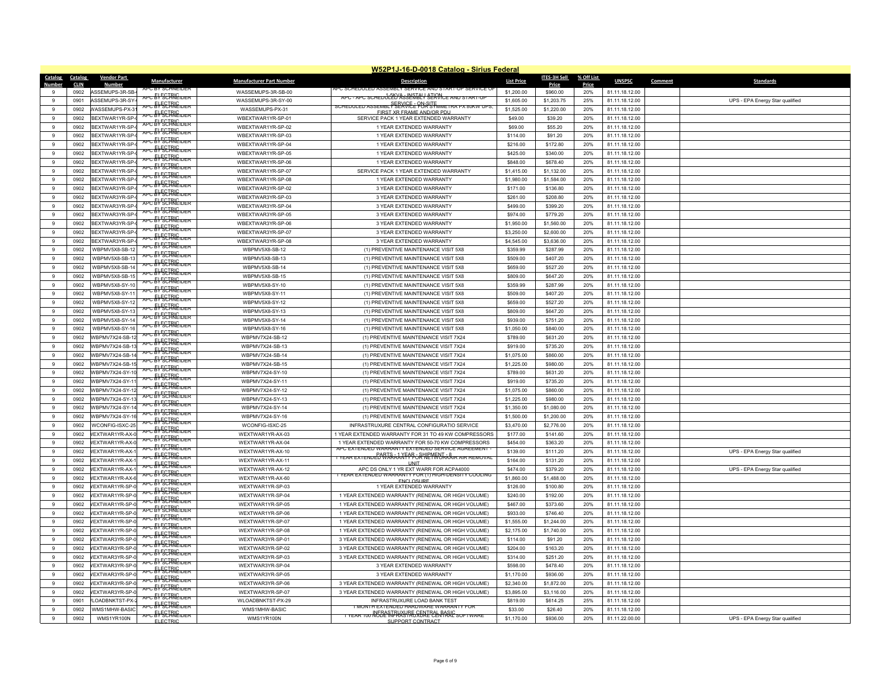|               |             |                       |                                        |                                 | W52P1J-16-D-0018 Catalog - Sirius Federal                                                      |                   |              |            |                |         |                                 |
|---------------|-------------|-----------------------|----------------------------------------|---------------------------------|------------------------------------------------------------------------------------------------|-------------------|--------------|------------|----------------|---------|---------------------------------|
| Catalog       | Catalog     | <b>Vendor Part</b>    | Manufacturer                           | <b>Manufacturer Part Number</b> | <b>Description</b>                                                                             | <b>List Price</b> | ITES-3H Sell | % Off List | <b>UNSPSC</b>  | Comment | <b>Standards</b>                |
| <b>Number</b> | <b>CLIN</b> | <b>Number</b>         | PU BY SUBNETUEL                        |                                 | PU SUHFIJULFIJ ASSEMBET                                                                        |                   | Price        | Price      |                |         |                                 |
| 9             | 0902        | ASSEMUPS-3R-SB-       | rc <del>El SCTRIEIDER</del>            | WASSEMUPS-3R-SB-00              | APC - APC SCHEDJEED ASSERTELY SERVICE AND START-UP                                             | \$1,200.00        | \$960.00     | 20%        | 81.11.18.12.00 |         |                                 |
| $\alpha$      | 0901        | ASSEMUPS-3R-SY-       | APC: EVSCHNEIDER                       | WASSEMUPS-3R-SY-00              | SCHEDULED ASSEMBL <sup>S</sup> SEXVIELE PUR SYMMETRA PX 80KW UPS                               | \$1,605.00        | \$1,203.75   | 25%        | 81.11.18.12.00 |         | UPS - EPA Energy Star qualified |
| $\mathbf{g}$  | 0902        | WASSEMUPS-PX-3        | APC: EV:SCIRIC DER                     | WASSEMUPS-PX-31                 | FIRST XR FRAME AND/OR PDU                                                                      | \$1,525.00        | \$1,220.00   | 20%        | 81.11.18.12.00 |         |                                 |
| 9             | 0902        | BEXTWAR1YR-SP-        | <del>apc &amp;VSCTRIEIDER</del>        | WBEXTWAR1YR-SP-01               | SERVICE PACK 1 YEAR EXTENDED WARRANTY                                                          | \$49.00           | \$39.20      | 20%        | 81.11.18.12.00 |         |                                 |
| $\alpha$      | 0902        | BEXTWAR1YR-SP-        | PC ELECTRIC                            | WBEXTWAR1YR-SP-02               | 1 YEAR EXTENDED WARRANTY                                                                       | \$69.00           | \$55.20      | 20%        | 81.11.18.12.00 |         |                                 |
| $\mathbf{q}$  | 0902        | BFXTWAR1YR-SP-        | APC EY SCHNEIDER                       | WBEXTWAR1YR-SP-03               | 1 YEAR EXTENDED WARRANTY                                                                       | \$114.00          | \$91.20      | 20%        | 81.11.18.12.00 |         |                                 |
| 9             | 0902        | BEXTWAR1YR-SP-        |                                        | WBEXTWAR1YR-SP-04               | 1 YEAR EXTENDED WARRANTY                                                                       | \$216.00          | \$172.80     | 20%        | 81.11.18.12.00 |         |                                 |
| $\alpha$      | 0902        | BFXTWAR1YR-SP-        | <del>apc &amp;V SCTRNEIDER</del>       | WBEXTWAR1YR-SP-05               | 1 YEAR EXTENDED WARRANTY                                                                       | \$425.00          | \$340.00     | 20%        | 81.11.18.12.00 |         |                                 |
| $\mathbf{q}$  | 0902        | BEXTWAR1YR-SP-        | APC: EV:SCHNEIDER                      | WBEXTWAR1YR-SP-06               | 1 YEAR EXTENDED WARRANTY                                                                       | \$848.00          | \$678.40     | 20%        | 81.11.18.12.00 |         |                                 |
| $\mathbf{g}$  | 0902        | BEXTWAR1YR-SP-        | <sub>ऀ</sub> <del>ऀऀऀ<sup></sup></del> | WBEXTWAR1YR-SP-07               | SERVICE PACK 1 YEAR EXTENDED WARRANTY                                                          | \$1,415.00        | \$1,132.00   | 20%        | 81.11.18.12.00 |         |                                 |
| 9             | 0902        | BEXTWAR1YR-SP-        | <del>ve 51 SCTRIC DER</del>            | WBEXTWAR1YR-SP-08               | 1 YEAR EXTENDED WARRANTY                                                                       | \$1,980.00        | \$1,584.00   | 20%        | 81.11.18.12.00 |         |                                 |
| $\mathbf{q}$  | 0902        | BFXTWAR3YR-SP-        | vec <del>El SCTRIC der</del>           | WBEXTWAR3YR-SP-02               | 3 YEAR EXTENDED WARRANTY                                                                       | \$171.00          | \$136.80     | 20%        | 81.11.18.12.00 |         |                                 |
| $\mathbf{g}$  | 0902        | BEXTWAR3YR-SP-        | APC EY <sup>E</sup> SCHNEIDER          | WBEXTWAR3YR-SP-03               | 3 YEAR EXTENDED WARRANTY                                                                       | \$261.00          | \$208.80     | 20%        | 81.11.18.12.00 |         |                                 |
| 9             | 0902        | BEXTWAR3YR-SP-        | APC EY SCIRIE DER                      | WBEXTWAR3YR-SP-04               | 3 YEAR EXTENDED WARRANTY                                                                       | \$499.00          | \$399.20     | 20%        | 81.11.18.12.00 |         |                                 |
|               |             |                       | apc & SCHNEIDER                        |                                 |                                                                                                |                   |              |            |                |         |                                 |
| 9             | 0902        | BEXTWAR3YR-SP-        | <b>PC ELECTRIC DER</b>                 | WBEXTWAR3YR-SP-05               | 3 YEAR EXTENDED WARRANTY                                                                       | \$974.00          | \$779.20     | 20%        | 81.11.18.12.00 |         |                                 |
| $\mathbf{g}$  | 0902        | BEXTWAR3YR-SP-        | APC: EVSCHNEIDER                       | WBEXTWAR3YR-SP-06               | 3 YEAR EXTENDED WARRANTY                                                                       | \$1,950.00        | \$1,560.00   | 20%        | 81.11.18.12.00 |         |                                 |
| 9             | 0902        | BEXTWAR3YR-SP-        | APC EY SCHNEIDER                       | WBEXTWAR3YR-SP-07               | 3 YEAR EXTENDED WARRANTY                                                                       | \$3,250.00        | \$2,600.00   | 20%        | 81.11.18.12.00 |         |                                 |
| 9             | 0902        | BEXTWAR3YR-SP-        | PC EY SCHNEIDER                        | WBEXTWAR3YR-SP-08               | 3 YEAR EXTENDED WARRANTY                                                                       | \$4,545.00        | \$3,636.00   | 20%        | 81.11.18.12.00 |         |                                 |
| $\alpha$      | 0902        | WBPMV5X8-SB-12        |                                        | WBPMV5X8-SB-12                  | (1) PREVENTIVE MAINTENANCE VISIT 5X8                                                           | \$359.99          | \$287.99     | 20%        | 81.11.18.12.00 |         |                                 |
| $\mathbf{g}$  | 0902        | WBPMV5X8-SB-13        | <del>ve 51 SCTRIC DER</del>            | WBPMV5X8-SB-13                  | (1) PREVENTIVE MAINTENANCE VISIT 5X8                                                           | \$509.00          | \$407.20     | 20%        | 81.11.18.12.00 |         |                                 |
| 9             | 0902        | WBPMV5X8-SB-14        | <b>NPC EY SCHNEIDER</b>                | WBPMV5X8-SB-14                  | (1) PREVENTIVE MAINTENANCE VISIT 5X8                                                           | \$659.00          | \$527.20     | 20%        | 81.11.18.12.00 |         |                                 |
| $\mathbf{g}$  | 0902        | <b>WBPMV5X8-SB-15</b> |                                        | WBPMV5X8-SB-15                  | (1) PREVENTIVE MAINTENANCE VISIT 5X8                                                           | \$809.00          | \$647.20     | 20%        | 81.11.18.12.00 |         |                                 |
| $\mathbf{g}$  | 0902        | WBPMV5X8-SY-10        | <sub>ऀ</sub> ⋻⋷ <del>┠</del> ┞⋚⋵ѬѤ╖╒╒  | WBPMV5X8-SY-10                  | (1) PREVENTIVE MAINTENANCE VISIT 5X8                                                           | \$359.99          | \$287.99     | 20%        | 81.11.18.12.00 |         |                                 |
| 9             | 0902        | WBPMV5X8-SY-11        | <b>APC EV SCIRIEIDER</b>               | WBPMV5X8-SY-11                  | (1) PREVENTIVE MAINTENANCE VISIT 5X8                                                           | \$509.00          | \$407.20     | 20%        | 81.11.18.12.00 |         |                                 |
| $\alpha$      | 0902        | WBPMV5X8-SY-12        | apc & SCHNEIDER                        | WBPMV5X8-SY-12                  | (1) PREVENTIVE MAINTENANCE VISIT 5X8                                                           | \$659.00          | \$527.20     | 20%        | 81.11.18.12.00 |         |                                 |
| $\mathbf{g}$  | 0902        | WBPMV5X8-SY-13        | APC BY SCHNEIDER                       | WBPMV5X8-SY-13                  | (1) PREVENTIVE MAINTENANCE VISIT 5X8                                                           | \$809.00          | \$647.20     | 20%        | 81.11.18.12.00 |         |                                 |
| 9             | 0902        | WBPMV5X8-SY-14        | APC EY SCHNEIDER                       | WBPMV5X8-SY-14                  | (1) PREVENTIVE MAINTENANCE VISIT 5X8                                                           | \$939.00          | \$751.20     | 20%        | 81.11.18.12.00 |         |                                 |
| $\mathbf{g}$  | 0902        | WBPMV5X8-SY-16        | APC EY SCHNEIDER                       | WBPMV5X8-SY-16                  | (1) PREVENTIVE MAINTENANCE VISIT 5X8                                                           | \$1,050.00        | \$840.00     | 20%        | 81.11.18.12.00 |         |                                 |
| $\mathbf{q}$  | 0902        | WBPMV7X24-SB-12       | <b>\PC &amp;\F&amp;FR\&amp;IDER</b>    | WBPMV7X24-SB-12                 | (1) PREVENTIVE MAINTENANCE VISIT 7X24                                                          | \$789.00          | \$631.20     | 20%        | 81.11.18.12.00 |         |                                 |
| $\mathbf{g}$  |             |                       | APC EV SCHNEIDER                       |                                 |                                                                                                |                   |              |            |                |         |                                 |
|               | 0902        | WBPMV7X24-SB-13       | APC EY SCHNEIDER                       | WBPMV7X24-SB-13                 | (1) PREVENTIVE MAINTENANCE VISIT 7X24                                                          | \$919.00          | \$735.20     | 20%        | 81.11.18.12.00 |         |                                 |
| 9             | 0902        | WBPMV7X24-SB-14       | vec <del>El SCTRIC der</del>           | WBPMV7X24-SB-14                 | (1) PREVENTIVE MAINTENANCE VISIT 7X24                                                          | \$1,075.00        | \$860.00     | 20%        | 81.11.18.12.00 |         |                                 |
| $\mathbf{q}$  | 0902        | WBPMV7X24-SB-15       | <sub>ऀ</sub> ⋻⋷ <del>┠</del> ┞⋚⋵ѬѤ╖╒╒  | WBPMV7X24-SB-15                 | (1) PREVENTIVE MAINTENANCE VISIT 7X24                                                          | \$1,225.00        | \$980.00     | 20%        | 81.11.18.12.00 |         |                                 |
| $\mathbf{g}$  | 0902        | WBPMV7X24-SY-10       | <sub>ऀ</sub> <del>ऀऀऀ<sup></sup></del> | WBPMV7X24-SY-10                 | (1) PREVENTIVE MAINTENANCE VISIT 7X24                                                          | \$789.00          | \$631.20     | 20%        | 81.11.18.12.00 |         |                                 |
| 9             | 0902        | WBPMV7X24-SY-1        | apc & SCHNEIDER                        | WBPMV7X24-SY-11                 | (1) PREVENTIVE MAINTENANCE VISIT 7X24                                                          | \$919.00          | \$735.20     | 20%        | 81.11.18.12.00 |         |                                 |
| 9             | 0902        | WBPMV7X24-SY-12       | <b>vPC EY SCHRIEIDER</b>               | WBPMV7X24-SY-12                 | (1) PREVENTIVE MAINTENANCE VISIT 7X24                                                          | \$1,075.00        | \$860.00     | 20%        | 81.11.18.12.00 |         |                                 |
| $\mathbf{g}$  | 0902        | WBPMV7X24-SY-13       | APC EY SCHNEIDER                       | WBPMV7X24-SY-13                 | (1) PREVENTIVE MAINTENANCE VISIT 7X24                                                          | \$1,225.00        | \$980.00     | 20%        | 81.11.18.12.00 |         |                                 |
| 9             | 0902        | WBPMV7X24-SY-14       |                                        | WBPMV7X24-SY-14                 | (1) PREVENTIVE MAINTENANCE VISIT 7X24                                                          | \$1,350.00        | \$1,080.00   | 20%        | 81.11.18.12.00 |         |                                 |
| 9             | 0902        | WBPMV7X24-SY-16       | apc & FSCHNEIDER                       | WBPMV7X24-SY-16                 | (1) PREVENTIVE MAINTENANCE VISIT 7X24                                                          | \$1,500.00        | \$1,200.00   | 20%        | 81.11.18.12.00 |         |                                 |
| $\mathbf{g}$  | 0902        | WCONFIG-ISXC-25       | ved <del>en scirne de r</del>          | WCONFIG-ISXC-25                 | INFRASTRUXURE CENTRAL CONFIGURATIO SERVICE                                                     | \$3,470.00        | \$2,776.00   | 20%        | 81.11.18.12.00 |         |                                 |
| $\mathbf{g}$  | 0902        | VEXTWAR1YR-AX-0       | <b>NPC: EVECIENC UTFR</b>              | WEXTWAR1YR-AX-03                | 1 YEAR EXTENDED WARRANTY FOR 31 TO 49 KW COMPRESSORS                                           | \$177.00          | \$141.60     | 20%        | 81.11.18.12.00 |         |                                 |
| 9             | 0902        | VEXTWAR1YR-AX-0       | APC EY SCHNEIDER                       | WEXTWAR1YR-AX-04                | 1 YEAR EXTENDED WARRANTY FOR 50-70 KW COMPRESSORS                                              | \$454.00          | \$363.20     | 20%        | 81.11.18.12.00 |         |                                 |
| $\mathbf{g}$  | 0902        | VFXTWAR1YR-AX-        | NPC EY <sup>E</sup> SCHNEIDER          | WEXTWAR1YR-AX-10                | APC EXTENDED WARRANTY EXTENDED SERVICE AGREEMENT                                               | \$139.00          | \$111.20     | 20%        | 81.11.18.12.00 |         | UPS - EPA Energy Star qualified |
| 9             | 0902        | VEXTWAR1YR-AX-        | APC: EV: SCIRNE 117FR                  | WEXTWAR1YR-AX-11                | t year extended Warranf#PoRHEMWArkair air removae                                              | \$164.00          | \$131.20     | 20%        | 81.11.18.12.00 |         |                                 |
|               |             |                       | apc & SCHNEIDER                        |                                 | UNIT                                                                                           |                   |              |            |                |         |                                 |
| 9             | 0902        | VEXTWAR1YR-AX-1       | apc & SCHNEIDER                        | WEXTWAR1YR-AX-12                | APC DS ONLY 1 YR EXT WARR FOR ACPA4000<br>TYEAR EXTENDED WARRANTY FOR (1) HIGH-DENSITY COOLING | \$474.00          | \$379.20     | 20%        | 81.11.18.12.00 |         | UPS - EPA Energy Star qualified |
| $\mathbf{g}$  | 0902        | VEXTWAR1YR-AX-6       | apc & FSCHNEIDER                       | WEXTWAR1YR-AX-60                | <b>ENCLOSUR</b>                                                                                | \$1,860.00        | \$1,488.00   | 20%        | 81.11.18.12.00 |         |                                 |
| $\mathbf{q}$  | 0902        | VEXTWAR1YR-SP-0       | APC EY SCHNEIDER                       | WEXTWAR1YR-SP-03                | 1 YEAR EXTENDED WARRANTY                                                                       | \$126.00          | \$100.80     | 20%        | 81.11.18.12.00 |         |                                 |
| 9             | 0902        | VEXTWAR1YR-SP-0       | APC EV SCHNEIDER                       | WEXTWAR1YR-SP-04                | 1 YEAR EXTENDED WARRANTY (RENEWAL OR HIGH VOLUME)                                              | \$240.00          | \$192.00     | 20%        | 81.11.18.12.00 |         |                                 |
| $\mathbf{g}$  | 0902        | VEXTWAR1YR-SP-0       | apc EV SCHNEIDER                       | WEXTWAR1YR-SP-05                | 1 YEAR EXTENDED WARRANTY (RENEWAL OR HIGH VOLUME)                                              | \$467.00          | \$373.60     | 20%        | 81.11.18.12.00 |         |                                 |
| 9             | 0902        | VEXTWAR1YR-SP-0       | APC EY SCIRIE DER                      | WEXTWAR1YR-SP-06                | 1 YEAR EXTENDED WARRANTY (RENEWAL OR HIGH VOLUME)                                              | \$933.00          | \$746.40     | 20%        | 81.11.18.12.00 |         |                                 |
| $_{9}$        | 0902        | VEXTWAR1YR-SP-0       | APC EV SCHNEIDER                       | WEXTWAR1YR-SP-07                | 1 YEAR EXTENDED WARRANTY (RENEWAL OR HIGH VOLUME)                                              | \$1,555.00        | \$1,244.00   | 20%        | 81.11.18.12.00 |         |                                 |
| 9             | 0902        | VEXTWAR1YR-SP-0       |                                        | WEXTWAR1YR-SP-08                | 1 YEAR EXTENDED WARRANTY (RENEWAL OR HIGH VOLUME)                                              | \$2,175.00        | \$1,740.00   | 20%        | 81.11.18.12.00 |         |                                 |
| 9             | 0902        | VEXTWAR3YR-SP-0       | <b>\PC &amp;\F&amp;FR\EIDER</b>        | WEXTWAR3YR-SP-01                | 3 YEAR EXTENDED WARRANTY (RENEWAL OR HIGH VOLUME)                                              | \$114.00          | \$91.20      | 20%        | 81.11.18.12.00 |         |                                 |
| $\mathbf{g}$  | 0902        | /EXTWAR3YR-SP-0       | <b>PC EY SCHNEIDER</b>                 | WEXTWAR3YR-SP-02                | 3 YEAR EXTENDED WARRANTY (RENEWAL OR HIGH VOLUME)                                              | \$204.00          | \$163.20     | 20%        | 81.11.18.12.00 |         |                                 |
| 9             | 0902        | VEXTWAR3YR-SP-0       | APC EV SCHNEIDER                       | WEXTWAR3YR-SP-03                | 3 YEAR EXTENDED WARRANTY (RENEWAL OR HIGH VOLUME)                                              | \$314.00          | \$251.20     | 20%        | 81.11.18.12.00 |         |                                 |
| 9             | 0902        | VEXTWAR3YR-SP-0       | APC EV SCHNEIDER                       | WEXTWAR3YR-SP-04                | 3 YEAR EXTENDED WARRANTY                                                                       | \$598.00          | \$478.40     | 20%        | 81.11.18.12.00 |         |                                 |
| $\mathbf{g}$  | 0902        | VEXTWAR3YR-SP-0       | <b>APC EY SCHRIEIDER</b>               | WEXTWAR3YR-SP-05                | 3 YEAR EXTENDED WARRANTY                                                                       | \$1,170.00        | \$936.00     | 20%        | 81.11.18.12.00 |         |                                 |
| 9             | 0902        | VEXTWAR3YR-SP-0       | APC EY SCHNEIDER                       | WEXTWAR3YR-SP-06                | 3 YEAR EXTENDED WARRANTY (RENEWAL OR HIGH VOLUME)                                              | \$2,340.00        | \$1,872.00   | 20%        | 81.11.18.12.00 |         |                                 |
|               |             |                       | apc & FSCHNEIDER                       |                                 |                                                                                                |                   |              |            |                |         |                                 |
| 9             | 0902        | VEXTWAR3YR-SP-0       | <del>apc EV SCIRNEIDER</del>           | WEXTWAR3YR-SP-07                | 3 YEAR EXTENDED WARRANTY (RENEWAL OR HIGH VOLUME)                                              | \$3,895.00        | \$3,116.00   | 20%        | 81.11.18.12.00 |         |                                 |
| $\Omega$      | 0901        | <b>OADBNKTST-PX-</b>  | APC EV SCIRIC TO PR                    | WLOADBNKTST-PX-29               | INFRASTRUXURE LOAD BANK TEST<br>MONTH EXTENDED HARDWARE WARRANTY FOR                           | \$819.00          | \$614.25     | 25%        | 81.11.18.12.00 |         |                                 |
| $\mathbf{g}$  | 0902        | WMS1MHW-BASIC         | APC EY SCHNEIDER                       | WMS1MHW-BASIC                   | t year too N5B <del>A</del> STRKASTRG&ENERALSHASIC software                                    | \$33.00           | \$26.40      | 20%        | 81.11.18.12.00 |         |                                 |
| 9             | 0902        | WMS1YR100N            | ELECTRIC                               | WMS1YR100N                      | SUPPORT CONTRACT                                                                               | \$1,170.00        | \$936.00     | 20%        | 81.11.22.00.00 |         | UPS - EPA Energy Star qualified |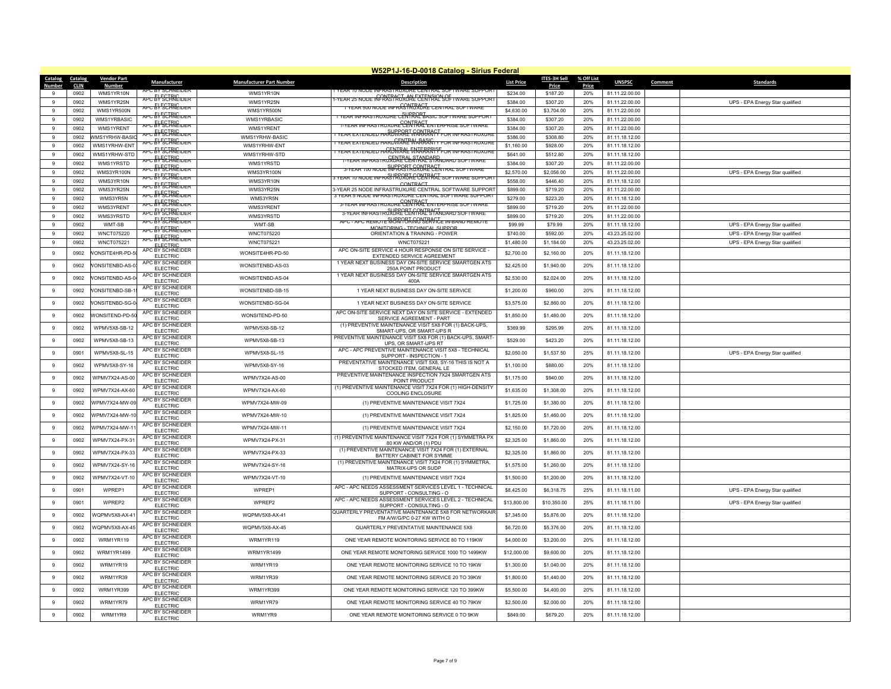|                  | W52P1J-16-D-0018 Catalog - Sirius Federal |                     |                                            |                                 |                                                                                                    |                   |                     |              |                |         |                                 |
|------------------|-------------------------------------------|---------------------|--------------------------------------------|---------------------------------|----------------------------------------------------------------------------------------------------|-------------------|---------------------|--------------|----------------|---------|---------------------------------|
| Catalog          | Catalog                                   | <b>Vendor Part</b>  | <b>Manufacturer</b>                        | <b>Manufacturer Part Number</b> | Description                                                                                        | <b>List Price</b> | <b>ITES-3H Sell</b> | % Off List   | <b>UNSPSC</b>  | Comment | Standard:                       |
| Numbe<br>9       | <b>CLIN</b><br>0902                       | Number<br>WMS1YR10N | APC BY SCHNEIDER                           | WMS1YR10N                       | YEAR 10 NODE INFRASTRUXURE CENTRAL SOFTWARE SUPPOR                                                 | \$234.00          | Price<br>\$187.20   | Price<br>20% | 81.11.22.00.00 |         |                                 |
| -9               | 0902                                      | WMS1YR25N           | <del>ng El SCIRIC der</del>                | WMS1YR25N                       | -year z5 node infRASPAGJxåRE&ERPRAPLSOF i ware suppor                                              | \$384.00          | \$307.20            | 20%          | 81.11.22.00.00 |         | UPS - EPA Energy Star qualified |
| 9                | 0902                                      | WMS1YR500N          | APC EY SCHNEIDER                           | WMS1YR500N                      | 1 YEAR 500 NODE INFRASTRUCKLE CENTRAL SOFTWARE                                                     | \$4,630.00        | \$3,704.00          | 20%          | 81.11.22.00.00 |         |                                 |
| 9                | 0902                                      | WMS1YRBASIC         | APC EV SCHNEIDER                           | WMS1YRBASIC                     | <u>1 year infrastruxure cêNFRAPTasic software support</u>                                          | \$384.00          | \$307.20            | 20%          | 81.11.22.00.00 |         |                                 |
| $\mathbf{q}$     | 0902                                      | WMS1YRFNT           | APC EV SCHNEIDER                           | WMS1YRENT                       | <u>infrastruxure<sup>c</sup>CeNTRACT</u><br>Infrastruxure <sup>c</sup> CeNTRAC enterprise suftware | \$384.00          | \$307.20            | 20%          | 81.11.22.00.00 |         |                                 |
| $\mathbf{q}$     | 0902                                      | WMS1YRHW-BASIC      | <b>APC EY SCIRIC DER</b>                   | WMS1YRHW-BASIC                  | fear extended haÑUWARE WARTAAY FOR infrast                                                         | \$386.00          | \$308.80            | 20%          | 81.11.18.12.00 |         |                                 |
| $\boldsymbol{9}$ | 0902                                      | WMS1YRHW-ENT        | APC EL SCIRIGIDER                          | WMS1YRHW-ENT                    | <u>YEAR EXTENDED HARDWAREWARRSIG</u>                                                               | \$1,160.00        | \$928.00            | 20%          | 81.11.18.12.00 |         |                                 |
| 9                | 0902                                      | WMS1YRHW-STD        | APC EY SCHNEIDER                           | WMS1YRHW-STD                    | YEAR EXTENDED HARDWARE WARRARISF OR INFRASTRUXURE                                                  | \$641.00          | \$512.80            | 20%          | 81.11.18.12.00 |         |                                 |
| 9                | 0902                                      | WMS1YRSTD           | <sub>NPC</sub> E <del>V SCIRIC 101 R</del> | WMS1YRSTD                       | NFRASTRÚÆNEELNTAALSPANDARD SOFT                                                                    | \$384.00          | \$307.20            | 20%          | 81.11.22.00.00 |         |                                 |
| $_{9}$           | 0902                                      | WMS3YR100N          | <b>NPC: EVECIENCIDER</b>                   | WMS3YR100N                      | 3-YEAR 100 NODE INFRAST FOR THE CENTRAL SOFTWARE                                                   | \$2,570.00        | \$2,056.00          | 20%          | 81.11.22.00.00 |         | UPS - EPA Energy Star qualified |
| $_{9}$           | 0902                                      | WMS3YR10N           | <del>apc &amp;V SCIRIC der</del>           | WMS3YR10N                       | <u>frar 10 Node infras!PRORTECNTRACT software support</u>                                          | \$558.00          | \$446.40            | 20%          | 81.11.18.12.00 |         |                                 |
| 9                | 0902                                      | WMS3YR25N           | <del>apc El ECIRICider</del>               | WMS3YR25N                       | CONTRACT<br>3-YEAR 25 NODE INFRASTRUXURE CENTRAL SOFTWARE SUPPORT                                  | \$899.00          | \$719.20            | 20%          | 81.11.22.00.00 |         |                                 |
| $\mathbf{g}$     | 0902                                      | WMS3YR5N            | APC EY <sup>E</sup> CHNEIDER               | WMS3YR5N                        | 3 YEAR 5 NODE INFRASTRUXURE CENTRAL SOFTWARE SUPPORT                                               | \$279.00          | \$223.20            | 20%          | 81.11.18.12.00 |         |                                 |
| $_{9}$           | 0902                                      | WMS3YRENT           | APC EY SCHRIEIDER                          | WMS3YRFNT                       | 3-YEAR INFRASTRUXURE CENTRACTENTERPRISE SOFTWARE                                                   | \$899.00          | \$719.20            | 20%          | 81.11.22.00.00 |         |                                 |
| 9                | 0902                                      | WMS3YRSTD           | APC EV SCHNEIDER                           | WMS3YRSTD                       | 3-YEAR INFRASTRUXURE CENTRACT                                                                      | \$899.00          | \$719.20            | 20%          | 81.11.22.00.00 |         |                                 |
| $\mathbf{g}$     | 0902                                      | WMT-SB              | APC EV SCHNEIDER                           | WMT-SB                          | APC - APC REMOTE MONITORING SERVICE IN-BAND REMOTE<br>MONITORING - TECHNICAL SUPPOR                | \$99.99           | \$79.99             | 20%          | 81.11.18.12.00 |         | UPS - EPA Energy Star qualified |
| 9                | 0902                                      | WNCT075220          | APC EL SCIRICIDER                          | WNCT075220                      | ORIENTATION & TRAINING - POWER                                                                     | \$740.00          | \$592.00            | 20%          | 43.23.25.02.00 |         | UPS - EPA Energy Star qualified |
| 9                | 0902                                      | WNCT075221          | APC EY SCHNEIDER<br>ELECTRIC               | WNCT075221                      | WNCT075221                                                                                         | \$1,480.00        | \$1,184.00          | 20%          | 43.23.25.02.00 |         | UPS - EPA Energy Star qualified |
| 9                | 0902                                      | VONSITE4HR-PD-5     | APC BY SCHNEIDER<br>FLECTRIC               | WONSITE4HR-PD-50                | APC ON-SITE SERVICE 4 HOUR RESPONSE ON SITE SERVICE -<br><b>EXTENDED SERVICE AGREEMENT</b>         | \$2,700.00        | \$2,160.00          | 20%          | 81.11.18.12.00 |         |                                 |
|                  |                                           |                     | APC BY SCHNEIDER                           |                                 | 1 YEAR NEXT BUSINESS DAY ON-SITE SERVICE SMARTGEN ATS                                              |                   |                     |              |                |         |                                 |
| $\overline{9}$   | 0902                                      | VONSITENBD-AS-0     | <b>ELECTRIC</b>                            | WONSITENBD-AS-03                | 250A POINT PRODUCT                                                                                 | \$2,425.00        | \$1,940.00          | 20%          | 81.11.18.12.00 |         |                                 |
| $\boldsymbol{9}$ | 0902                                      | VONSITENBD-AS-0     | APC BY SCHNEIDER<br><b>ELECTRIC</b>        | WONSITENBD-AS-04                | 1 YEAR NEXT BUSINESS DAY ON-SITE SERVICE SMARTGEN ATS<br>400A                                      | \$2,530.00        | \$2,024.00          | 20%          | 81.11.18.12.00 |         |                                 |
| 9                | 0902                                      | VONSITENBD-SB-1     | APC BY SCHNEIDER                           | WONSITENBD-SB-15                | 1 YEAR NEXT BUSINESS DAY ON-SITE SERVICE                                                           | \$1,200.00        | \$960.00            | 20%          | 81.11.18.12.00 |         |                                 |
|                  |                                           |                     | FLECTRIC<br>APC BY SCHNEIDER               |                                 |                                                                                                    |                   |                     |              |                |         |                                 |
| 9                | 0902                                      | VONSITENBD-SG-0     | <b>ELECTRIC</b>                            | WONSITENBD-SG-04                | 1 YEAR NEXT BUSINESS DAY ON-SITE SERVICE                                                           | \$3,575.00        | \$2,860.00          | 20%          | 81.11.18.12.00 |         |                                 |
| 9                | 0902                                      | WONSITEND-PD-50     | APC BY SCHNEIDER<br><b>ELECTRIC</b>        | WONSITEND-PD-50                 | APC ON-SITE SERVICE NEXT DAY ON SITE SERVICE - EXTENDED<br>SERVICE AGREEMENT - PART                | \$1,850.00        | \$1,480.00          | 20%          | 81.11.18.12.00 |         |                                 |
| $\overline{9}$   | 0902                                      | WPMV5X8-SB-12       | APC BY SCHNEIDER                           | WPMV5X8-SB-12                   | (1) PREVENTIVE MAINTENANCE VISIT 5X8 FOR (1) BACK-UPS,                                             | \$369.99          | \$295.99            | 20%          | 81.11.18.12.00 |         |                                 |
|                  |                                           |                     | <b>ELECTRIC</b><br>APC BY SCHNEIDER        |                                 | SMART-UPS, OR SMART-UPS R<br>PREVENTIVE MAINTENANCE VISIT 5X8 FOR (1) BACK-UPS, SMART              |                   |                     |              |                |         |                                 |
| $_{9}$           | 0902                                      | WPMV5X8-SB-13       | <b>ELECTRIC</b>                            | WPMV5X8-SB-13                   | UPS. OR SMART-UPS RT                                                                               | \$529.00          | \$423.20            | 20%          | 81.11.18.12.00 |         |                                 |
| $\overline{9}$   | 0901                                      | WPMV5X8-SL-15       | APC BY SCHNEIDER<br><b>ELECTRIC</b>        | WPMV5X8-SL-15                   | APC - APC PREVENTIVE MAINTENANCE VISIT 5X8 - TECHNICAL<br>SUPPORT - INSPECTION - 1                 | \$2,050.00        | \$1,537.50          | 25%          | 81.11.18.12.00 |         | UPS - EPA Energy Star qualified |
| $\,9$            | 0902                                      | WPMV5X8-SY-16       | APC BY SCHNEIDER                           | WPMV5X8-SY-16                   | PREVENTATIVE MAINTENANCE VISIT 5X8, SY-16 THIS IS NOT A                                            | \$1,100.00        | \$880.00            | 20%          | 81.11.18.12.00 |         |                                 |
|                  |                                           |                     | <b>ELECTRIC</b><br>APC BY SCHNEIDER        |                                 | STOCKED ITEM, GENERAL LE                                                                           |                   |                     |              |                |         |                                 |
| $_{9}$           | 0902                                      | WPMV7X24-AS-00      | <b>ELECTRIC</b>                            | WPMV7X24-AS-00                  | PREVENTIVE MAINTENANCE INSPECTION 7X24 SMARTGEN ATS<br>POINT PRODUCT                               | \$1,175.00        | \$940.00            | 20%          | 81.11.18.12.00 |         |                                 |
| 9                | 0902                                      | WPMV7X24-AX-60      | APC BY SCHNEIDER<br><b>ELECTRIC</b>        | WPMV7X24-AX-60                  | (1) PREVENTIVE MAINTENANCE VISIT 7X24 FOR (1) HIGH-DENSITY<br>COOLING ENCLOSURE                    | \$1,635.00        | \$1,308.00          | 20%          | 81.11.18.12.00 |         |                                 |
|                  |                                           |                     | APC BY SCHNEIDEF                           |                                 |                                                                                                    |                   |                     |              |                |         |                                 |
| 9                | 0902                                      | WPMV7X24-MW-09      | <b>ELECTRIC</b>                            | WPMV7X24-MW-09                  | (1) PREVENTIVE MAINTENANCE VISIT 7X24                                                              | \$1,725.00        | \$1,380.00          | 20%          | 81.11.18.12.00 |         |                                 |
| 9                | 0902                                      | WPMV7X24-MW-10      | APC BY SCHNEIDER<br><b>ELECTRIC</b>        | WPMV7X24-MW-10                  | (1) PREVENTIVE MAINTENANCE VISIT 7X24                                                              | \$1,825.00        | \$1,460.00          | 20%          | 81.11.18.12.00 |         |                                 |
| $_{9}$           | 0902                                      | WPMV7X24-MW-1       | APC BY SCHNEIDER                           | WPMV7X24-MW-11                  | (1) PREVENTIVE MAINTENANCE VISIT 7X24                                                              | \$2,150.00        | \$1,720.00          | 20%          | 81.11.18.12.00 |         |                                 |
|                  |                                           |                     | <b>ELECTRIC</b><br>APC BY SCHNEIDER        |                                 | (1) PREVENTIVE MAINTENANCE VISIT 7X24 FOR (1) SYMMETRA PX                                          |                   |                     |              |                |         |                                 |
| 9                | 0902                                      | WPMV7X24-PX-31      | <b>ELECTRIC</b>                            | WPMV7X24-PX-31                  | 80 KW AND/OR (1) PDU                                                                               | \$2,325.00        | \$1,860.00          | 20%          | 81.11.18.12.00 |         |                                 |
| $\overline{9}$   | 0902                                      | WPMV7X24-PX-33      | APC BY SCHNEIDER<br><b>ELECTRIC</b>        | WPMV7X24-PX-33                  | (1) PREVENTIVE MAINTENANCE VISIT 7X24 FOR (1) EXTERNAL<br>BATTERY CABINET FOR SYMME                | \$2,325.00        | \$1,860.00          | 20%          | 81.11.18.12.00 |         |                                 |
| $\mathbf{g}$     | 0902                                      | WPMV7X24-SY-16      | APC BY SCHNEIDER                           | WPMV7X24-SY-16                  | (1) PREVENTIVE MAINTENANCE VISIT 7X24 FOR (1) SYMMETRA,                                            | \$1,575.00        | \$1,260.00          | 20%          | 81.11.18.12.00 |         |                                 |
|                  |                                           |                     | <b>ELECTRIC</b><br>APC BY SCHNEIDER        |                                 | MATRIX-UPS OR SUDP                                                                                 |                   |                     |              |                |         |                                 |
| 9                | 0902                                      | WPMV7X24-VT-10      | <b>ELECTRIC</b>                            | WPMV7X24-VT-10                  | (1) PREVENTIVE MAINTENANCE VISIT 7X24                                                              | \$1,500.00        | \$1,200.00          | 20%          | 81.11.18.12.00 |         |                                 |
| $\overline{9}$   | 0901                                      | WPRFP1              | APC BY SCHNEIDER<br><b>ELECTRIC</b>        | WPRFP1                          | APC - APC NEEDS ASSESSMENT SERVICES LEVEL 1 - TECHNICAL<br>SUPPORT - CONSULTING - O                | \$8,425.00        | \$6,318.75          | 25%          | 81.11.18.11.00 |         | UPS - EPA Energy Star qualified |
| $\mathbf{g}$     | 0901                                      | WPRFP2              | APC BY SCHNEIDER                           | WPRFP2                          | APC - APC NEEDS ASSESSMENT SERVICES LEVEL 2 - TECHNICAL                                            | \$13,800.00       | \$10,350.00         | 25%          | 81.11.18.11.00 |         | UPS - EPA Energy Star qualified |
|                  |                                           |                     | <b>ELECTRIC</b><br>APC BY SCHNEIDER        |                                 | SUPPORT - CONSULTING - O<br>QUARTERLY PREVENTATIVE MAINTENANCE 5X8 FOR NETWORKAIF                  |                   |                     |              |                |         |                                 |
| $\boldsymbol{9}$ | 0902                                      | WQPMV5X8-AX-4       | <b>FI FCTRIC</b>                           | WQPMV5X8-AX-41                  | FM A/W/G/PC 0-27 KW WITH O                                                                         | \$7,345.00        | \$5,876.00          | 20%          | 81.11.18.12.00 |         |                                 |
| $9\,$            | 0902                                      | WQPMV5X8-AX-45      | APC BY SCHNEIDEF<br>FLECTRIC               | WQPMV5X8-AX-45                  | QUARTERLY PREVENTATIVE MAINTENANCE 5X8                                                             | \$6,720.00        | \$5,376.00          | 20%          | 81.11.18.12.00 |         |                                 |
| $\mathbf{g}$     | 0902                                      | WRM1YR119           | APC BY SCHNEIDEF                           | WRM1YR119                       | ONE YEAR REMOTE MONITORING SERVICE 80 TO 119KW                                                     | \$4,000.00        | \$3,200.00          | 20%          | 81.11.18.12.00 |         |                                 |
|                  |                                           |                     | <b>ELECTRIC</b>                            |                                 |                                                                                                    |                   |                     |              |                |         |                                 |
| $\boldsymbol{9}$ | 0902                                      | WRM1YR1499          | APC BY SCHNEIDER<br><b>ELECTRIC</b>        | WRM1YR1499                      | ONE YEAR REMOTE MONITORING SERVICE 1000 TO 1499KW                                                  | \$12,000.00       | \$9,600.00          | 20%          | 81.11.18.12.00 |         |                                 |
| $9\,$            | 0902                                      | WRM1YR19            | APC BY SCHNEIDER                           | WRM1YR19                        | ONE YEAR REMOTE MONITORING SERVICE 10 TO 19KW                                                      | \$1,300.00        | \$1,040.00          | 20%          | 81.11.18.12.00 |         |                                 |
|                  |                                           |                     | <b>ELECTRIC</b><br>APC BY SCHNEIDER        |                                 |                                                                                                    |                   |                     |              |                |         |                                 |
| 9                | 0902                                      | WRM1YR39            | <b>ELECTRIC</b>                            | WRM1YR39                        | ONE YEAR REMOTE MONITORING SERVICE 20 TO 39KW                                                      | \$1,800.00        | \$1,440.00          | 20%          | 81.11.18.12.00 |         |                                 |
| $\mathbf{g}$     | 0902                                      | WRM1YR399           | APC BY SCHNEIDER<br><b>ELECTRIC</b>        | WRM1YR399                       | ONE YEAR REMOTE MONITORING SERVICE 120 TO 399KW                                                    | \$5,500.00        | \$4,400.00          | 20%          | 81.11.18.12.00 |         |                                 |
| 9                | 0902                                      | WRM1YR79            | APC BY SCHNEIDER                           | WRM1YR79                        | ONE YEAR REMOTE MONITORING SERVICE 40 TO 79KW                                                      | \$2,500.00        | \$2,000.00          | 20%          | 81.11.18.12.00 |         |                                 |
|                  |                                           |                     | <b>ELECTRIC</b><br>APC BY SCHNEIDER        |                                 |                                                                                                    |                   |                     |              |                |         |                                 |
| $\overline{9}$   | 0902                                      | WRM1YR9             | <b>ELECTRIC</b>                            | WRM1YR9                         | ONE YEAR REMOTE MONITORING SERVICE 0 TO 9KW                                                        | \$849.00          | \$679.20            | 20%          | 81.11.18.12.00 |         |                                 |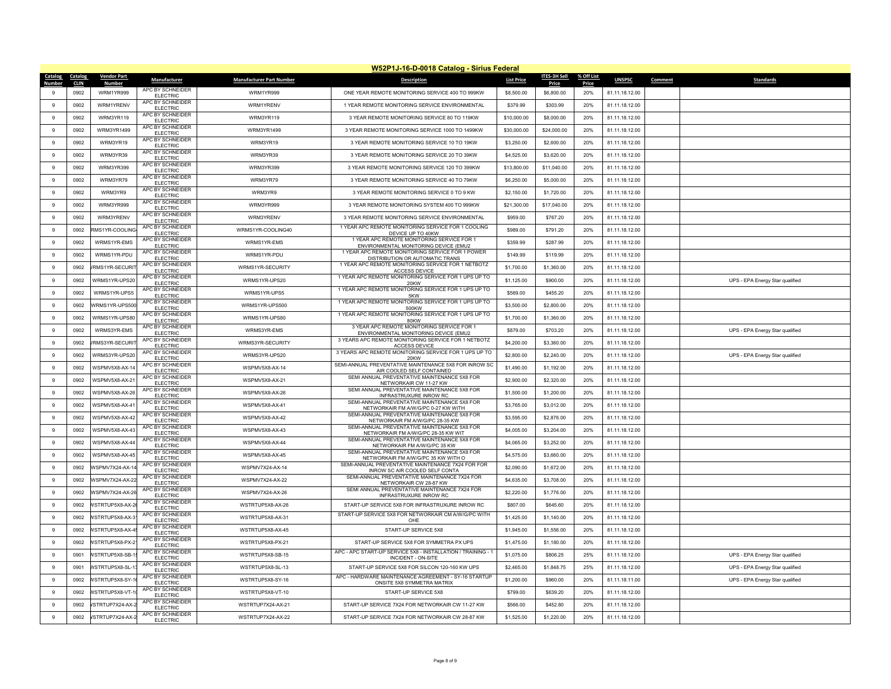|                          | W52P1J-16-D-0018 Catalog - Sirius Federal |                              |                                                         |                                 |                                                                                                          |                   |                     |              |                |                                 |  |  |
|--------------------------|-------------------------------------------|------------------------------|---------------------------------------------------------|---------------------------------|----------------------------------------------------------------------------------------------------------|-------------------|---------------------|--------------|----------------|---------------------------------|--|--|
| Catalog<br><b>Number</b> | Catalog                                   | <b>Vendor Part</b><br>Number | Manufacturer                                            | <b>Manufacturer Part Number</b> | <b>Description</b>                                                                                       | <b>List Price</b> | <b>ITES-3H Sell</b> | % Off List   | <b>UNSPSC</b>  | Comment<br><b>Standards</b>     |  |  |
| 9                        | <b>CLIN</b><br>0902                       | WRM1YR999                    | APC BY SCHNEIDER<br><b>ELECTRIC</b>                     | WRM1YR999                       | ONE YEAR REMOTE MONITORING SERVICE 400 TO 999KW                                                          | \$8,500.00        | Price<br>\$6,800.00 | Price<br>20% | 81.11.18.12.00 |                                 |  |  |
| $\overline{9}$           | 0902                                      | WRM1YRFNV                    | APC BY SCHNEIDER<br><b>ELECTRIC</b>                     | WRM1YRFNV                       | 1 YEAR REMOTE MONITORING SERVICE ENVIRONMENTAL                                                           | \$379.99          | \$303.99            | 20%          | 81.11.18.12.00 |                                 |  |  |
| 9                        | 0902                                      | WRM3YR119                    | APC BY SCHNEIDER<br><b>ELECTRIC</b>                     | WRM3YR119                       | 3 YEAR REMOTE MONITORING SERVICE 80 TO 119KW                                                             | \$10,000.00       | \$8,000.00          | 20%          | 81.11.18.12.00 |                                 |  |  |
| 9                        | 0902                                      | WRM3YR1499                   | APC BY SCHNEIDER<br>FLECTRIC                            | WRM3YR1499                      | 3 YEAR REMOTE MONITORING SERVICE 1000 TO 1499KW                                                          | \$30,000.00       | \$24,000.00         | 20%          | 81.11.18.12.00 |                                 |  |  |
| 9                        | 0902                                      | WRM3YR19                     | APC BY SCHNEIDER<br><b>ELECTRIC</b>                     | WRM3YR19                        | 3 YEAR REMOTE MONITORING SERVICE 10 TO 19KW                                                              | \$3,250.00        | \$2,600.00          | 20%          | 81.11.18.12.00 |                                 |  |  |
| 9                        | 0902                                      | WRM3YR39                     | APC BY SCHNEIDER<br><b>ELECTRIC</b>                     | WRM3YR39                        | 3 YEAR REMOTE MONITORING SERVICE 20 TO 39KW                                                              | \$4,525.00        | \$3,620.00          | 20%          | 81.11.18.12.00 |                                 |  |  |
| $\overline{9}$           | 0902                                      | WRM3YR399                    | APC BY SCHNEIDER<br><b>ELECTRIC</b>                     | WRM3YR399                       | 3 YEAR REMOTE MONITORING SERVICE 120 TO 399KW                                                            | \$13,800.00       | \$11,040.00         | 20%          | 81.11.18.12.00 |                                 |  |  |
| $\,9$                    | 0902                                      | WRM3YR79                     | APC BY SCHNEIDER<br><b>ELECTRIC</b>                     | WRM3YR79                        | 3 YEAR REMOTE MONITORING SERVICE 40 TO 79KW                                                              | \$6,250.00        | \$5,000.00          | 20%          | 81.11.18.12.00 |                                 |  |  |
| $\,9$                    | 0902                                      | WRM3YR9                      | APC BY SCHNEIDER<br><b>ELECTRIC</b>                     | WRM3YR9                         | 3 YEAR REMOTE MONITORING SERVICE 0 TO 9 KW                                                               | \$2,150.00        | \$1,720.00          | 20%          | 81.11.18.12.00 |                                 |  |  |
| $_{9}$                   | 0902                                      | WRM3YR999                    | APC BY SCHNEIDER<br><b>ELECTRIC</b>                     | WRM3YR999                       | 3 YEAR REMOTE MONITORING SYSTEM 400 TO 999KW                                                             | \$21,300.00       | \$17,040.00         | 20%          | 81.11.18.12.00 |                                 |  |  |
| $\boldsymbol{9}$         | 0902                                      | WRM3YRFNV                    | APC BY SCHNEIDER<br><b>ELECTRIC</b>                     | WRM3YRFNV                       | 3 YEAR REMOTE MONITORING SERVICE ENVIRONMENTAL                                                           | \$959.00          | \$767.20            | 20%          | 81.11.18.12.00 |                                 |  |  |
| $\overline{9}$           | 0902                                      | RMS1YR-COOLING               | APC BY SCHNEIDER<br><b>ELECTRIC</b>                     | WRMS1YR-COOLING40               | 1 YEAR APC REMOTE MONITORING SERVICE FOR 1 COOLING<br>DEVICE UP TO 40KW                                  | \$989.00          | \$791.20            | 20%          | 81.11.18.12.00 |                                 |  |  |
| $_{9}$                   | 0902                                      | WRMS1YR-EMS                  | APC BY SCHNEIDER<br><b>ELECTRIC</b>                     | WRMS1YR-EMS                     | 1 YEAR APC REMOTE MONITORING SERVICE FOR 1<br>ENVIRONMENTAL MONITORING DEVICE (EMU2                      | \$359.99          | \$287.99            | 20%          | 81.11.18.12.00 |                                 |  |  |
| 9                        | 0902                                      | WRMS1YR-PDU                  | APC BY SCHNEIDER<br><b>ELECTRIC</b>                     | WRMS1YR-PDU                     | 1 YEAR APC REMOTE MONITORING SERVICE FOR 1 POWER<br>DISTRIBUTION OR AUTOMATIC TRANS                      | \$149.99          | \$119.99            | 20%          | 81.11.18.12.00 |                                 |  |  |
| 9                        | 0902                                      | /RMS1YR-SECURIT              | APC BY SCHNEIDER<br><b>ELECTRIC</b>                     | WRMS1YR-SECURITY                | 1 YEAR APC REMOTE MONITORING SERVICE FOR 1 NETBOTZ<br><b>ACCESS DEVICE</b>                               | \$1,700.00        | \$1,360.00          | 20%          | 81.11.18.12.00 |                                 |  |  |
| $\boldsymbol{9}$         | 0902                                      | WRMS1YR-UPS20                | APC BY SCHNEIDER<br><b>ELECTRIC</b>                     | WRMS1YR-UPS20                   | 1 YEAR APC REMOTE MONITORING SERVICE FOR 1 UPS UP TO<br>20KW                                             | \$1,125.00        | \$900.00            | 20%          | 81.11.18.12.00 | UPS - EPA Energy Star qualified |  |  |
| $\overline{9}$           | 0902                                      | WRMS1YR-UPS5                 | APC BY SCHNEIDER<br><b>ELECTRIC</b>                     | WRMS1YR-UPS5                    | 1 YEAR APC REMOTE MONITORING SERVICE FOR 1 UPS UP TO<br>5KW                                              | \$569.00          | \$455.20            | 20%          | 81.11.18.12.00 |                                 |  |  |
| 9                        | 0902                                      | WRMS1YR-UPS500               | APC BY SCHNEIDEF<br><b>ELECTRIC</b>                     | WRMS1YR-UPS500                  | 1 YEAR APC REMOTE MONITORING SERVICE FOR 1 UPS UP TO<br>500KW                                            | \$3,500.00        | \$2,800.00          | 20%          | 81.11.18.12.00 |                                 |  |  |
| 9                        | 0902                                      | WRMS1YR-UPS80                | APC BY SCHNEIDER<br>FLECTRIC                            | WRMS1YR-UPS80                   | 1 YEAR APC REMOTE MONITORING SERVICE FOR 1 UPS UP TO<br>80KW                                             | \$1,700.00        | \$1,360.00          | 20%          | 81.11.18.12.00 |                                 |  |  |
| 9                        | 0902                                      | WRMS3YR-EMS                  | APC BY SCHNEIDER<br><b>ELECTRIC</b>                     | WRMS3YR-EMS                     | 3 YEAR APC REMOTE MONITORING SERVICE FOR 1<br>ENVIRONMENTAL MONITORING DEVICE (EMU2                      | \$879.00          | \$703.20            | 20%          | 81.11.18.12.00 | UPS - EPA Energy Star qualified |  |  |
| 9                        | 0902                                      | /RMS3YR-SECURIT              | APC BY SCHNEIDER<br><b>ELECTRIC</b>                     | WRMS3YR-SECURITY                | 3 YEARS APC REMOTE MONITORING SERVICE FOR 1 NETBOTZ<br><b>ACCESS DEVICE</b>                              | \$4,200.00        | \$3,360.00          | 20%          | 81.11.18.12.00 |                                 |  |  |
| $\overline{9}$           | 0902                                      | WRMS3YR-UPS20                | APC BY SCHNEIDER<br><b>ELECTRIC</b>                     | WRMS3YR-UPS20                   | 3 YEARS APC REMOTE MONITORING SERVICE FOR 1 UPS UP TO<br>20KW                                            | \$2,800.00        | \$2,240.00          | 20%          | 81.11.18.12.00 | UPS - EPA Energy Star qualified |  |  |
| $\,9$                    | 0902                                      | WSPMV5X8-AX-14               | APC BY SCHNEIDER<br><b>ELECTRIC</b>                     | WSPMV5X8-AX-14                  | SEMI-ANNUAL PREVENTATIVE MAINTENANCE 5X8 FOR INROW SC<br>AIR COOLED SELF CONTAINED                       | \$1,490.00        | \$1,192.00          | 20%          | 81.11.18.12.00 |                                 |  |  |
| $\,9$                    | 0902                                      | WSPMV5X8-AX-21               | APC BY SCHNEIDER<br><b>ELECTRIC</b>                     | WSPMV5X8-AX-21                  | SEMI ANNUAL PREVENTATIVE MAINTENANCE 5X8 FOR<br>NETWORKAIR CW 11-27 KW                                   | \$2,900.00        | \$2,320.00          | 20%          | 81.11.18.12.00 |                                 |  |  |
| $_{9}$                   | 0902                                      | WSPMV5X8-AX-26               | APC BY SCHNEIDER<br>FI FCTRIC                           | WSPMV5X8-AX-26                  | SEMI ANNUAL PREVENTATIVE MAINTENANCE 5X8 FOR<br><b>INFRASTRUXURE INROW RC</b>                            | \$1,500.00        | \$1,200.00          | 20%          | 81.11.18.12.00 |                                 |  |  |
| $\mathbf{q}$             | 0902                                      | WSPMV5X8-AX-41               | APC BY SCHNEIDER<br><b>ELECTRIC</b>                     | WSPMV5X8-AX-41                  | SEMI-ANNUAL PREVENTATIVE MAINTENANCE 5X8 FOR<br>NETWORKAIR FM A/W/G/PC 0-27 KW WITH                      | \$3,765.00        | \$3,012.00          | 20%          | 81.11.18.12.00 |                                 |  |  |
| $\overline{9}$           | 0902                                      | WSPMV5X8-AX-42               | APC BY SCHNEIDER<br><b>ELECTRIC</b>                     | WSPMV5X8-AX-42                  | SEMI-ANNUAL PREVENTATIVE MAINTENANCE 5X8 FOR<br>NETWORKAIR FM A/W/G/PC 28-35 KW                          | \$3,595.00        | \$2,876.00          | 20%          | 81.11.18.12.00 |                                 |  |  |
| 9                        | 0902                                      | WSPMV5X8-AX-43               | APC BY SCHNEIDER<br><b>ELECTRIC</b>                     | WSPMV5X8-AX-43                  | SEMI-ANNUAL PREVENTATIVE MAINTENANCE 5X8 FOR<br>NETWORKAIR FM A/W/G/PC 28-35 KW WIT                      | \$4,005.00        | \$3,204.00          | 20%          | 81.11.18.12.00 |                                 |  |  |
| 9                        | 0902                                      | WSPMV5X8-AX-44               | APC BY SCHNEIDER<br><b>ELECTRIC</b>                     | WSPMV5X8-AX-44                  | SEMI-ANNUAL PREVENTATIVE MAINTENANCE 5X8 FOR<br>NETWORKAIR FM A/W/G/PC 35 KW                             | \$4,065.00        | \$3,252.00          | 20%          | 81.11.18.12.00 |                                 |  |  |
| 9                        | 0902                                      | WSPMV5X8-AX-45               | APC BY SCHNEIDER<br><b>ELECTRIC</b>                     | WSPMV5X8-AX-45                  | SEMI-ANNUAL PREVENTATIVE MAINTENANCE 5X8 FOR<br>NETWORKAIR FM A/W/G/PC 35 KW WITH O                      | \$4,575.00        | \$3,660.00          | 20%          | 81.11.18.12.00 |                                 |  |  |
| $\boldsymbol{9}$         | 0902                                      | WSPMV7X24-AX-14              | APC BY SCHNEIDER<br><b>ELECTRIC</b>                     | WSPMV7X24-AX-14                 | SEMI-ANNUAL PREVENTATIVE MAINTENANCE 7X24 FOR FOR<br>INROW SC AIR COOLED SELF CONTA                      | \$2,090.00        | \$1,672.00          | 20%          | 81.11.18.12.00 |                                 |  |  |
| $\overline{9}$           | 0902                                      | <b>WSPMV7X24-AX-22</b>       | APC BY SCHNEIDER<br><b>ELECTRIC</b>                     | WSPMV7X24-AX-22                 | SEMI-ANNUAL PREVENTATIVE MAINTENANCE 7X24 FOR<br>NETWORKAIR CW 28-87 KW                                  | \$4,635.00        | \$3,708.00          | 20%          | 81.11.18.12.00 |                                 |  |  |
| 9                        | 0902                                      | <b>WSPMV7X24-AX-26</b>       | APC BY SCHNEIDER<br>FLECTRIC<br>APC BY SCHNEIDER        | WSPMV7X24-AX-26                 | SEMI ANNUAL PREVENTATIVE MAINTENANCE 7X24 FOR<br>INFRASTRUXURE INROW RC                                  | \$2,220.00        | \$1,776.00          | 20%          | 81.11.18.12.00 |                                 |  |  |
| 9                        | 0902                                      | VSTRTUP5X8-AX-2              | FLECTRIC<br>APC BY SCHNEIDER                            | WSTRTUP5X8-AX-26                | START-UP SERVICE 5X8 FOR INFRASTRUXURE INROW RC<br>START-UP SERVICE 5X8 FOR NETWORKAIR CM A/W/G/PC WITH  | \$807.00          | \$645.60            | 20%          | 81.11.18.12.00 |                                 |  |  |
| 9                        | 0902                                      | VSTRTUP5X8-AX-3              | <b>ELECTRIC</b>                                         | WSTRTUP5X8-AX-31                | OHE                                                                                                      | \$1,425.00        | \$1,140.00          | 20%          | 81.11.18.12.00 |                                 |  |  |
| 9                        | 0902                                      | VSTRTUP5X8-AX-4              | APC BY SCHNEIDER<br><b>ELECTRIC</b><br>APC BY SCHNEIDER | WSTRTUP5X8-AX-45                | START-UP SERVICE 5X8                                                                                     | \$1,945.00        | \$1,556.00          | 20%          | 81.11.18.12.00 |                                 |  |  |
| $\overline{9}$           | 0902                                      | VSTRTUP5X8-PX-2              | FLECTRIC<br>APC BY SCHNEIDER                            | WSTRTUP5X8-PX-21                | START-UP SERVICE 5X8 FOR SYMMETRA PX UPS<br>APC - APC START-UP SERVICE 5X8 - INSTALLATION / TRAINING - 1 | \$1,475.00        | \$1,180.00          | 20%          | 81.11.18.12.00 |                                 |  |  |
| $\,9$                    | 0901                                      | VSTRTUP5X8-SB-1              | <b>ELECTRIC</b><br>APC BY SCHNEIDER                     | WSTRTUP5X8-SB-15                | INCIDENT - ON-SITE                                                                                       | \$1,075.00        | \$806.25            | 25%          | 81.11.18.12.00 | UPS - EPA Energy Star qualified |  |  |
| $\,9$                    | 0901                                      | VSTRTUP5X8-SL-1              | <b>ELECTRIC</b><br>APC BY SCHNEIDER                     | WSTRTUP5X8-SL-13                | START-UP SERVICE 5X8 FOR SILCON 120-160 KW UPS<br>APC - HARDWARE MAINTENANCE AGREEMENT - SY-16 STARTUP   | \$2,465.00        | \$1,848.75          | 25%          | 81.11.18.12.00 | UPS - EPA Energy Star qualified |  |  |
| $_{9}$                   | 0902                                      | VSTRTUP5X8-SY-               | FI FCTRIC<br>APC BY SCHNEIDER                           | WSTRTUP5X8-SY-16                | ONSITE 5X8 SYMMETRA MATRIX                                                                               | \$1,200.00        | \$960.00            | 20%          | 81.11.18.11.00 | UPS - EPA Energy Star qualified |  |  |
| $\mathbf{q}$             | 0902                                      | <b>NSTRTUP5X8-VT-1</b>       | <b>ELECTRIC</b><br>APC BY SCHNEIDER                     | WSTRTUP5X8-VT-10                | START-UP SERVICE 5X8                                                                                     | \$799.00          | \$639.20            | 20%          | 81.11.18.12.00 |                                 |  |  |
| $\overline{9}$           | 0902                                      | /STRTUP7X24-AX-2             | <b>ELECTRIC</b><br>APC BY SCHNEIDER                     | WSTRTUP7X24-AX-21               | START-UP SERVICE 7X24 FOR NETWORKAIR CW 11-27 KW                                                         | \$566.00          | \$452.80            | 20%          | 81.11.18.12.00 |                                 |  |  |
| $_{9}$                   | 0902                                      | VSTRTUP7X24-AX-2             | <b>ELECTRIC</b>                                         | WSTRTUP7X24-AX-22               | START-UP SERVICE 7X24 FOR NETWORKAIR CW 28-87 KW                                                         | \$1,525.00        | \$1,220.00          | 20%          | 81.11.18.12.00 |                                 |  |  |